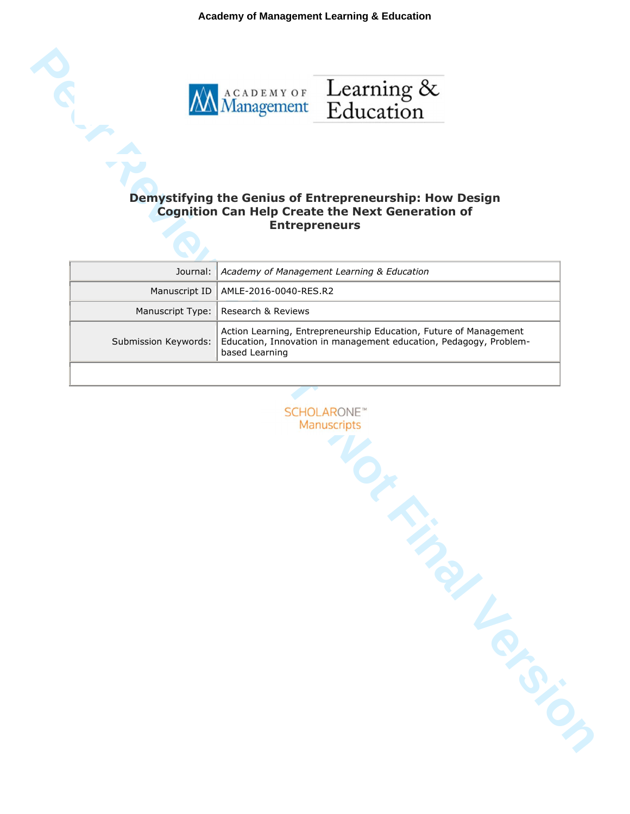**Academy of Management Learning & Education**



## **Cognition Can Help Create the Next Generation of Entrepreneurs**

|                      | Journal:   Academy of Management Learning & Education                                                                                                    |
|----------------------|----------------------------------------------------------------------------------------------------------------------------------------------------------|
|                      | Manuscript ID   AMLE-2016-0040-RES.R2                                                                                                                    |
|                      | Manuscript Type:   Research & Reviews                                                                                                                    |
| Submission Keywords: | Action Learning, Entrepreneurship Education, Future of Management<br>Education, Innovation in management education, Pedagogy, Problem-<br>based Learning |
|                      |                                                                                                                                                          |

**PER REVIEW AND THE SECT CONSULTER CONSULTER CONSULTER**<br> **PER REVIEW AND SECT A SECT CONSULTER CONSULTER CONSULTER CONSULTANCE CONSULTER CONSULTANCE CONSULTANCE CONSULTER CONSULTANCE CONSULTANCE CONSULTANCE CONSULTANCE CON**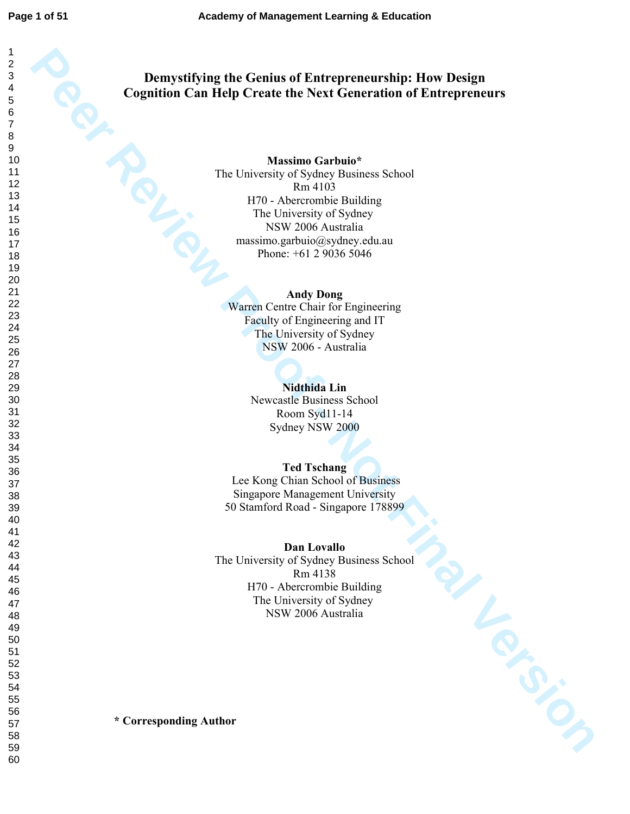# **Demystifying the Genius of Entrepreneurship: How Design**

**Per Review Proof - Per Review Proof - Note that Containers Capitalism Constitute Control of Entrepreneurs (Note that Constrainers School)**<br>
Proper Proof - Note Constrainers School<br>
Proper American School<br>
Proper American **Cognition Can Help Create the Next Generation of Entrepreneurs<br>
Massimo Garbuio\***<br>
The University of Sydney Business School<br>
H70 - Abercrombie Building<br>
The University of Sydney<br>
NSW 2006 Australia<br>
Massimo garbuio@sydney **Massimo Garbuio\***  The University of Sydney Business School Rm 4103 H70 - Abercrombie Building The University of Sydney NSW 2006 Australia massimo.garbuio@sydney.edu.au Phone: +61 2 9036 5046

**Andy Dong** Warren Centre Chair for Engineering Faculty of Engineering and IT The University of Sydney NSW 2006 - Australia

> **Nidthida Lin**  Newcastle Business School Room Syd11-14 Sydney NSW 2000

#### **Ted Tschang**

 Lee Kong Chian School of Business Singapore Management University 50 Stamford Road - Singapore 178899

**Dan Lovallo** 

The University of Sydney Business School Rm 4138 H70 - Abercrombie Building The University of Sydney NSW 2006 Australia

**\* Corresponding Author**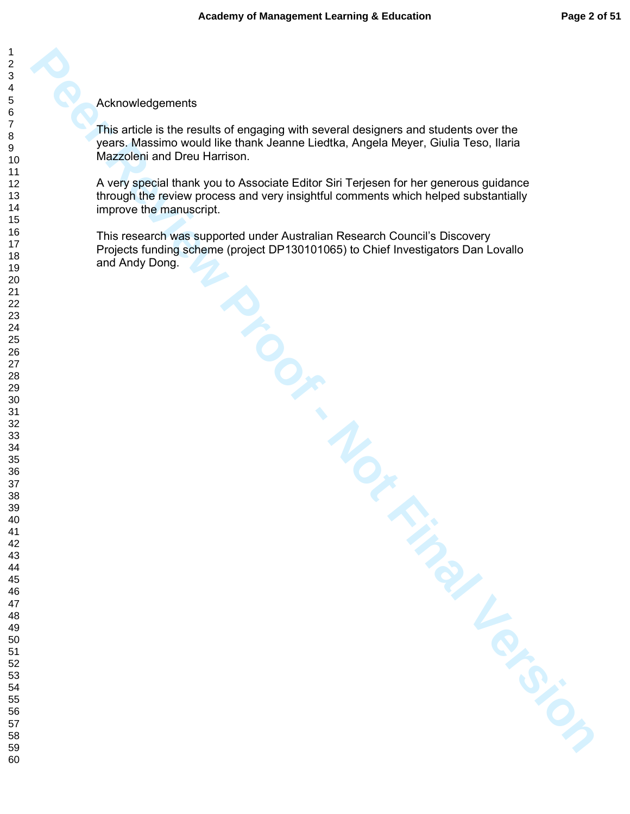Acknowledgements

This article is the results of engaging with several designers and students over the years. Massimo would like thank Jeanne Liedtka, Angela Meyer, Giulia Teso, Ilaria Mazzoleni and Dreu Harrison.

Acknowledgements<br>
This article is this results of omaging with several designers and students over the<br>
The Ackesimo would like thank Jeanne Leatha, Angles keeps, Guila Lieso, Laid<br>
A way ispear thank you be Associated Edi A very special thank you to Associate Editor Siri Terjesen for her generous guidance through the review process and very insightful comments which helped substantially improve the manuscript.

This research was supported under Australian Research Council's Discovery Projects funding scheme (project DP130101065) to Chief Investigators Dan Lovallo and Andy Dong.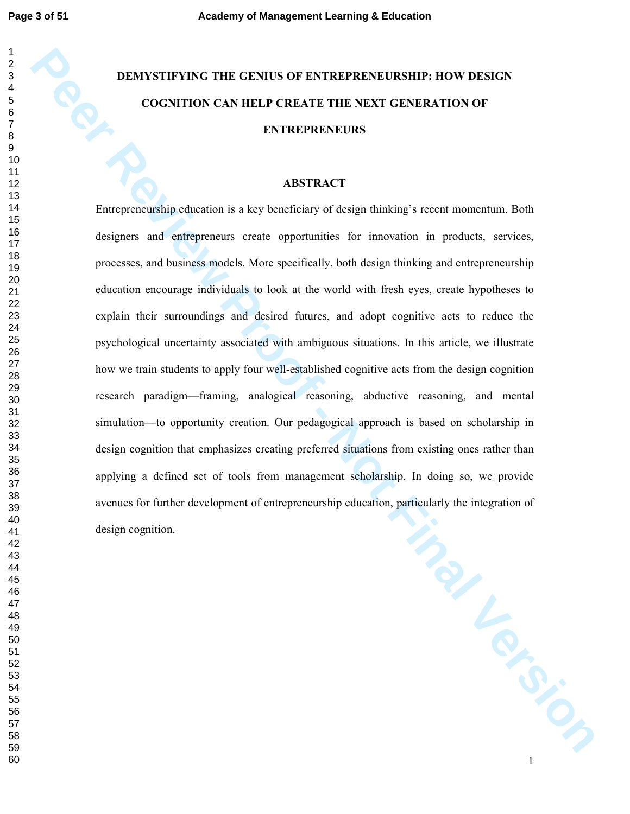## **DEMYSTIFYING THE GENIUS OF ENTREPRENEURSHIP: HOW DESIGN COGNITION CAN HELP CREATE THE NEXT GENERATION OF ENTREPRENEURS**

#### **ABSTRACT**

**PEACHER THE CENTUS OF EXTREPRENEURSIIIIP:** HOW DESIGN COGNITION CAN HELP CREATE THE VEXT GENERATION OF **ENTREPRENEURS**<br> **PEACHER THE VERSION OF A SET AND CONSULTER AREA CONSULTED AND ASSESS ARE AREA CONSULTED AND CONSULTE** Entrepreneurship education is a key beneficiary of design thinking's recent momentum. Both designers and entrepreneurs create opportunities for innovation in products, services, processes, and business models. More specifically, both design thinking and entrepreneurship education encourage individuals to look at the world with fresh eyes, create hypotheses to explain their surroundings and desired futures, and adopt cognitive acts to reduce the psychological uncertainty associated with ambiguous situations. In this article, we illustrate how we train students to apply four well-established cognitive acts from the design cognition research paradigm—framing, analogical reasoning, abductive reasoning, and mental simulation—to opportunity creation. Our pedagogical approach is based on scholarship in design cognition that emphasizes creating preferred situations from existing ones rather than applying a defined set of tools from management scholarship. In doing so, we provide avenues for further development of entrepreneurship education, particularly the integration of design cognition.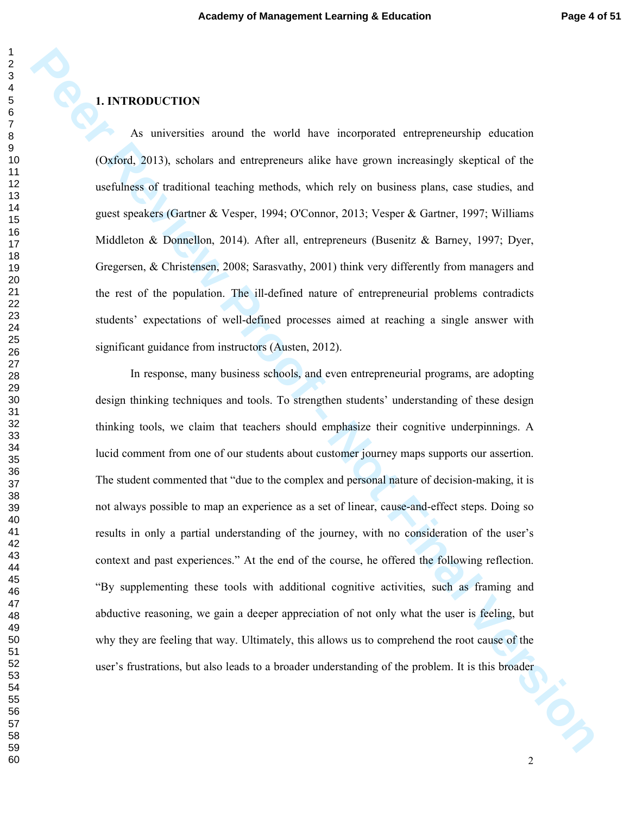### **1. INTRODUCTION**

As universities around the world have incorporated entrepreneurship education (Oxford, 2013), scholars and entrepreneurs alike have grown increasingly skeptical of the usefulness of traditional teaching methods, which rely on business plans, case studies, and guest speakers (Gartner & Vesper, 1994; O'Connor, 2013; Vesper & Gartner, 1997; Williams Middleton & Donnellon, 2014). After all, entrepreneurs (Busenitz & Barney, 1997; Dyer, Gregersen, & Christensen, 2008; Sarasvathy, 2001) think very differently from managers and the rest of the population. The ill-defined nature of entrepreneurial problems contradicts students' expectations of well-defined processes aimed at reaching a single answer with significant guidance from instructors (Austen, 2012).

**PER ACTION ASSOCIATION**<br> **PER ACTION ASSOCIATE**<br> **PER ACTIONS**<br> **PER ACTION** ASSOCIATE TO A CONSIDE THE CONSIDER TOWARD TO A CONSIDER THE CONSIDER A CONSIDER SOFTING TO A CONSIDE TO A CONSIDER SOFTING TO A CONSIDER A PROP In response, many business schools, and even entrepreneurial programs, are adopting design thinking techniques and tools. To strengthen students' understanding of these design thinking tools, we claim that teachers should emphasize their cognitive underpinnings. A lucid comment from one of our students about customer journey maps supports our assertion. The student commented that "due to the complex and personal nature of decision-making, it is not always possible to map an experience as a set of linear, cause-and-effect steps. Doing so results in only a partial understanding of the journey, with no consideration of the user's context and past experiences." At the end of the course, he offered the following reflection. "By supplementing these tools with additional cognitive activities, such as framing and abductive reasoning, we gain a deeper appreciation of not only what the user is feeling, but why they are feeling that way. Ultimately, this allows us to comprehend the root cause of the user's frustrations, but also leads to a broader understanding of the problem. It is this broader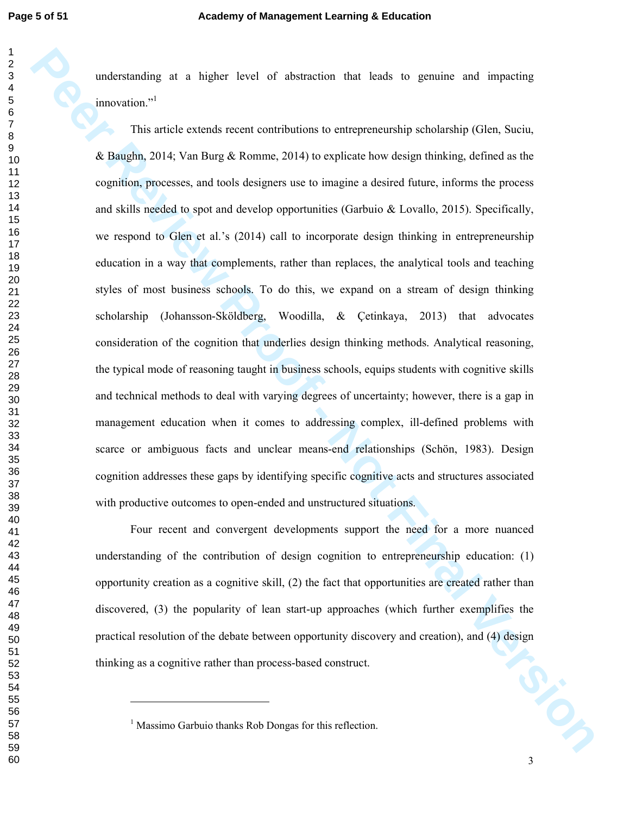understanding at a higher level of abstraction that leads to genuine and impacting innovation."<sup>1</sup>

**Per Revise Consideration** of a large tend of absorbance that leads to genuine and impacting<br> **Per Article extends recent contributions to entrepreneumbly achoimably (Gien, Sacita,**<br> **Review Processors**, and took designed This article extends recent contributions to entrepreneurship scholarship (Glen, Suciu, & Baughn, 2014; Van Burg & Romme, 2014) to explicate how design thinking, defined as the cognition, processes, and tools designers use to imagine a desired future, informs the process and skills needed to spot and develop opportunities (Garbuio & Lovallo, 2015). Specifically, we respond to Glen et al.'s (2014) call to incorporate design thinking in entrepreneurship education in a way that complements, rather than replaces, the analytical tools and teaching styles of most business schools. To do this, we expand on a stream of design thinking scholarship (Johansson-Sköldberg, Woodilla, & Çetinkaya, 2013) that advocates consideration of the cognition that underlies design thinking methods. Analytical reasoning, the typical mode of reasoning taught in business schools, equips students with cognitive skills and technical methods to deal with varying degrees of uncertainty; however, there is a gap in management education when it comes to addressing complex, ill-defined problems with scarce or ambiguous facts and unclear means-end relationships (Schön, 1983). Design cognition addresses these gaps by identifying specific cognitive acts and structures associated with productive outcomes to open-ended and unstructured situations.

50-10-Four recent and convergent developments support the need for a more nuanced understanding of the contribution of design cognition to entrepreneurship education: (1) opportunity creation as a cognitive skill, (2) the fact that opportunities are created rather than discovered, (3) the popularity of lean start-up approaches (which further exemplifies the practical resolution of the debate between opportunity discovery and creation), and (4) design thinking as a cognitive rather than process-based construct.

-

<sup>&</sup>lt;sup>1</sup> Massimo Garbuio thanks Rob Dongas for this reflection.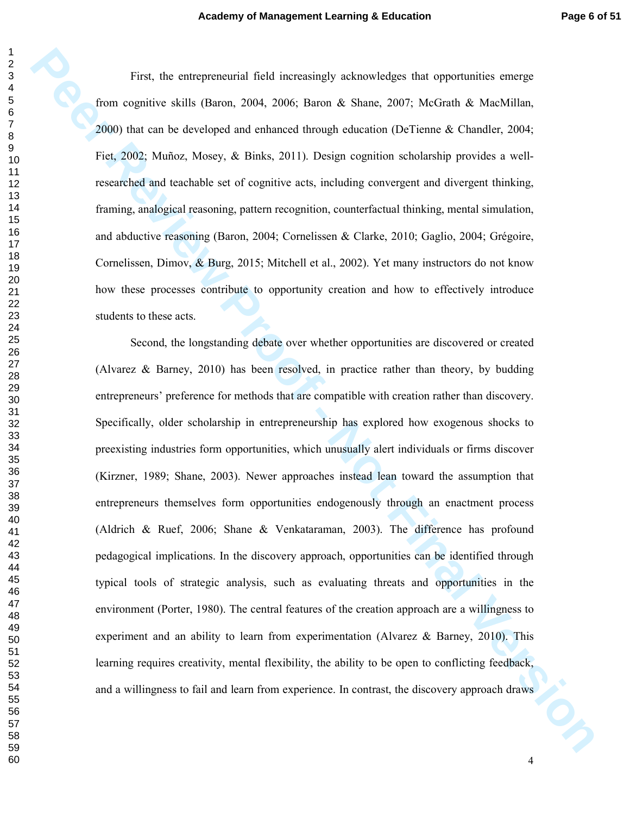First, the entrepreneurial field increasingly acknowledges that opportunities emerge from cognitive skills (Baron, 2004, 2006; Baron & Shane, 2007; McGrath & MacMillan, 2000) that can be developed and enhanced through education (DeTienne & Chandler, 2004; Fiet, 2002; Muñoz, Mosey, & Binks, 2011). Design cognition scholarship provides a wellresearched and teachable set of cognitive acts, including convergent and divergent thinking, framing, analogical reasoning, pattern recognition, counterfactual thinking, mental simulation, and abductive reasoning (Baron, 2004; Cornelissen & Clarke, 2010; Gaglio, 2004; Grégoire, Cornelissen, Dimov, & Burg, 2015; Mitchell et al., 2002). Yet many instructors do not know how these processes contribute to opportunity creation and how to effectively introduce students to these acts.

Pers<sub>y</sub> the universemental final measuringly acknowledges that reportantizes emerge<br> **Proon cognitive skills (Barco. 2004. 2006; Barco & Shane. 2007; McGrath & MacMillan,**<br> **PEOD** that an be developed and enhanced drawing Second, the longstanding debate over whether opportunities are discovered or created (Alvarez & Barney, 2010) has been resolved, in practice rather than theory, by budding entrepreneurs' preference for methods that are compatible with creation rather than discovery. Specifically, older scholarship in entrepreneurship has explored how exogenous shocks to preexisting industries form opportunities, which unusually alert individuals or firms discover (Kirzner, 1989; Shane, 2003). Newer approaches instead lean toward the assumption that entrepreneurs themselves form opportunities endogenously through an enactment process (Aldrich & Ruef, 2006; Shane & Venkataraman, 2003). The difference has profound pedagogical implications. In the discovery approach, opportunities can be identified through typical tools of strategic analysis, such as evaluating threats and opportunities in the environment (Porter, 1980). The central features of the creation approach are a willingness to experiment and an ability to learn from experimentation (Alvarez & Barney, 2010). This learning requires creativity, mental flexibility, the ability to be open to conflicting feedback, and a willingness to fail and learn from experience. In contrast, the discovery approach draws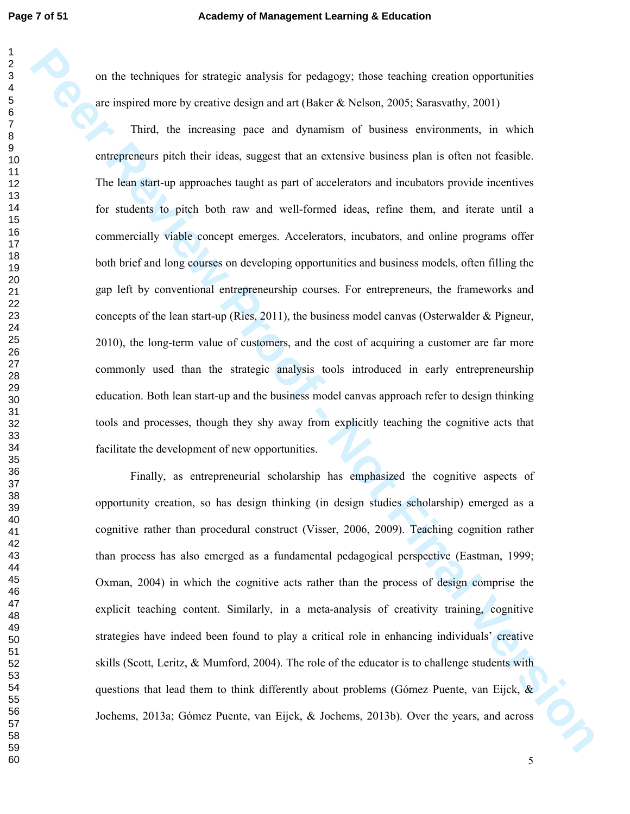on the techniques for strategic analysis for pedagogy; those teaching creation opportunities are inspired more by creative design and art (Baker & Nelson, 2005; Sarasvathy, 2001)

**Per Review The Stateger and System Pathony** (Providently conside a proportion is a completed more proportionally and a proportionally and the system process of the content of the basis of the system proof the content of t Third, the increasing pace and dynamism of business environments, in which entrepreneurs pitch their ideas, suggest that an extensive business plan is often not feasible. The lean start-up approaches taught as part of accelerators and incubators provide incentives for students to pitch both raw and well-formed ideas, refine them, and iterate until a commercially viable concept emerges. Accelerators, incubators, and online programs offer both brief and long courses on developing opportunities and business models, often filling the gap left by conventional entrepreneurship courses. For entrepreneurs, the frameworks and concepts of the lean start-up (Ries, 2011), the business model canvas (Osterwalder & Pigneur, 2010), the long-term value of customers, and the cost of acquiring a customer are far more commonly used than the strategic analysis tools introduced in early entrepreneurship education. Both lean start-up and the business model canvas approach refer to design thinking tools and processes, though they shy away from explicitly teaching the cognitive acts that facilitate the development of new opportunities.

Finally, as entrepreneurial scholarship has emphasized the cognitive aspects of opportunity creation, so has design thinking (in design studies scholarship) emerged as a cognitive rather than procedural construct (Visser, 2006, 2009). Teaching cognition rather than process has also emerged as a fundamental pedagogical perspective (Eastman, 1999; Oxman, 2004) in which the cognitive acts rather than the process of design comprise the explicit teaching content. Similarly, in a meta-analysis of creativity training, cognitive strategies have indeed been found to play a critical role in enhancing individuals' creative skills (Scott, Leritz, & Mumford, 2004). The role of the educator is to challenge students with questions that lead them to think differently about problems (Gómez Puente, van Eijck, & Jochems, 2013a; Gómez Puente, van Eijck, & Jochems, 2013b). Over the years, and across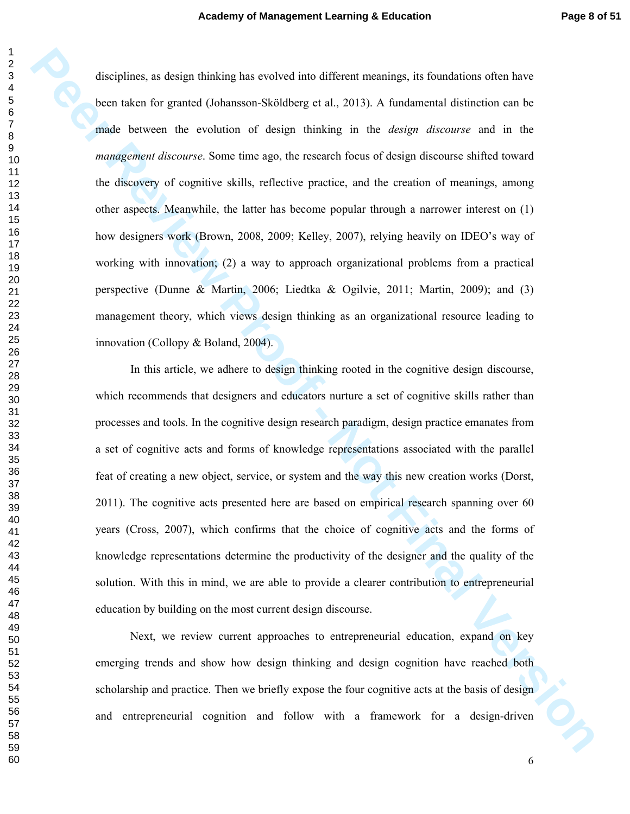because the design theoring has controls that different meanings, its foundations offer the second of the second of the second of the second of the second of the second of the second of the second of the second of the seco disciplines, as design thinking has evolved into different meanings, its foundations often have been taken for granted (Johansson-Sköldberg et al., 2013). A fundamental distinction can be made between the evolution of design thinking in the *design discourse* and in the *management discourse*. Some time ago, the research focus of design discourse shifted toward the discovery of cognitive skills, reflective practice, and the creation of meanings, among other aspects. Meanwhile, the latter has become popular through a narrower interest on (1) how designers work (Brown, 2008, 2009; Kelley, 2007), relying heavily on IDEO's way of working with innovation; (2) a way to approach organizational problems from a practical perspective (Dunne & Martin, 2006; Liedtka & Ogilvie, 2011; Martin, 2009); and (3) management theory, which views design thinking as an organizational resource leading to innovation (Collopy & Boland, 2004).

In this article, we adhere to design thinking rooted in the cognitive design discourse, which recommends that designers and educators nurture a set of cognitive skills rather than processes and tools. In the cognitive design research paradigm, design practice emanates from a set of cognitive acts and forms of knowledge representations associated with the parallel feat of creating a new object, service, or system and the way this new creation works (Dorst, 2011). The cognitive acts presented here are based on empirical research spanning over 60 years (Cross, 2007), which confirms that the choice of cognitive acts and the forms of knowledge representations determine the productivity of the designer and the quality of the solution. With this in mind, we are able to provide a clearer contribution to entrepreneurial education by building on the most current design discourse.

Next, we review current approaches to entrepreneurial education, expand on key emerging trends and show how design thinking and design cognition have reached both scholarship and practice. Then we briefly expose the four cognitive acts at the basis of design and entrepreneurial cognition and follow with a framework for a design-driven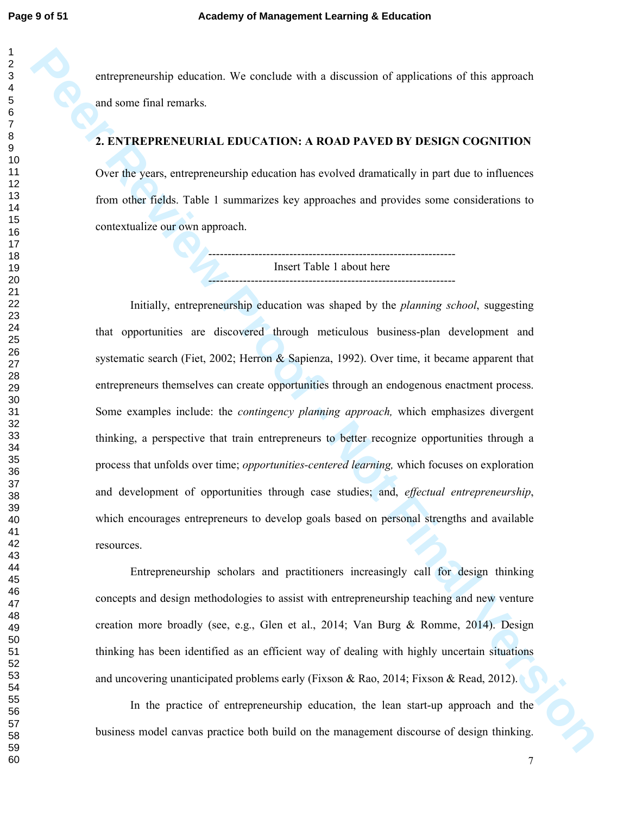entrepreneurship education. We conclude with a discussion of applications of this approach and some final remarks.

#### **2. ENTREPRENEURIAL EDUCATION: A ROAD PAVED BY DESIGN COGNITION**

Over the years, entrepreneurship education has evolved dramatically in part due to influences from other fields. Table 1 summarizes key approaches and provides some considerations to contextualize our own approach.

> ---------------------------------------------------------------- Insert Table 1 about here ----------------------------------------------------------------

entreprenembirg solution. We arrestrate with a discussion of applications of this approach<br>and some final remarks.<br> **2. FNTREPRENENTIFIAT. EDITCATION:** A ROAD PAVED BY DISIGN COGNITION<br>
One the years, contener exceeding c Initially, entrepreneurship education was shaped by the *planning school*, suggesting that opportunities are discovered through meticulous business-plan development and systematic search (Fiet, 2002; Herron & Sapienza, 1992). Over time, it became apparent that entrepreneurs themselves can create opportunities through an endogenous enactment process. Some examples include: the *contingency planning approach,* which emphasizes divergent thinking, a perspective that train entrepreneurs to better recognize opportunities through a process that unfolds over time; *opportunities-centered learning,* which focuses on exploration and development of opportunities through case studies; and, *effectual entrepreneurship*, which encourages entrepreneurs to develop goals based on personal strengths and available resources.

Entrepreneurship scholars and practitioners increasingly call for design thinking concepts and design methodologies to assist with entrepreneurship teaching and new venture creation more broadly (see, e.g., Glen et al., 2014; Van Burg & Romme, 2014). Design thinking has been identified as an efficient way of dealing with highly uncertain situations and uncovering unanticipated problems early (Fixson & Rao, 2014; Fixson & Read, 2012).

In the practice of entrepreneurship education, the lean start-up approach and the business model canvas practice both build on the management discourse of design thinking.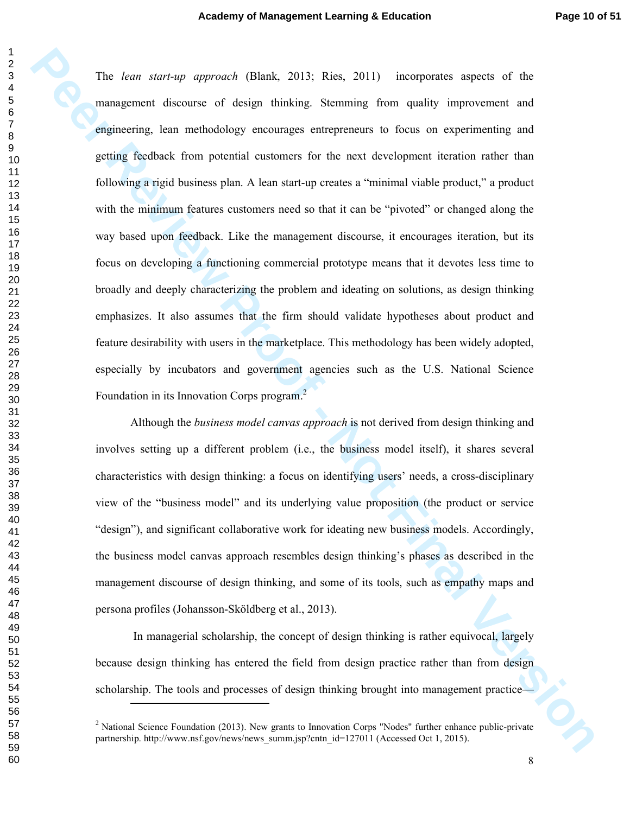**Peer Review Associates** of the material operator of the management of the management discours of design thinking. Stemming from quality improvement and emplementing and petrong fiscalistic from potential existence of the The *lean start-up approach* (Blank, 2013; Ries, 2011) incorporates aspects of the management discourse of design thinking. Stemming from quality improvement and engineering, lean methodology encourages entrepreneurs to focus on experimenting and getting feedback from potential customers for the next development iteration rather than following a rigid business plan. A lean start-up creates a "minimal viable product," a product with the minimum features customers need so that it can be "pivoted" or changed along the way based upon feedback. Like the management discourse, it encourages iteration, but its focus on developing a functioning commercial prototype means that it devotes less time to broadly and deeply characterizing the problem and ideating on solutions, as design thinking emphasizes. It also assumes that the firm should validate hypotheses about product and feature desirability with users in the marketplace. This methodology has been widely adopted, especially by incubators and government agencies such as the U.S. National Science Foundation in its Innovation Corps program.<sup>2</sup>

Although the *business model canvas approach* is not derived from design thinking and involves setting up a different problem (i.e., the business model itself), it shares several characteristics with design thinking: a focus on identifying users' needs, a cross-disciplinary view of the "business model" and its underlying value proposition (the product or service "design"), and significant collaborative work for ideating new business models. Accordingly, the business model canvas approach resembles design thinking's phases as described in the management discourse of design thinking, and some of its tools, such as empathy maps and persona profiles (Johansson-Sköldberg et al., 2013).

 In managerial scholarship, the concept of design thinking is rather equivocal, largely because design thinking has entered the field from design practice rather than from design scholarship. The tools and processes of design thinking brought into management practice—

-

<sup>&</sup>lt;sup>2</sup> National Science Foundation (2013). New grants to Innovation Corps "Nodes" further enhance public-private partnership. http://www.nsf.gov/news/news\_summ.jsp?cntn\_id=127011 (Accessed Oct 1, 2015).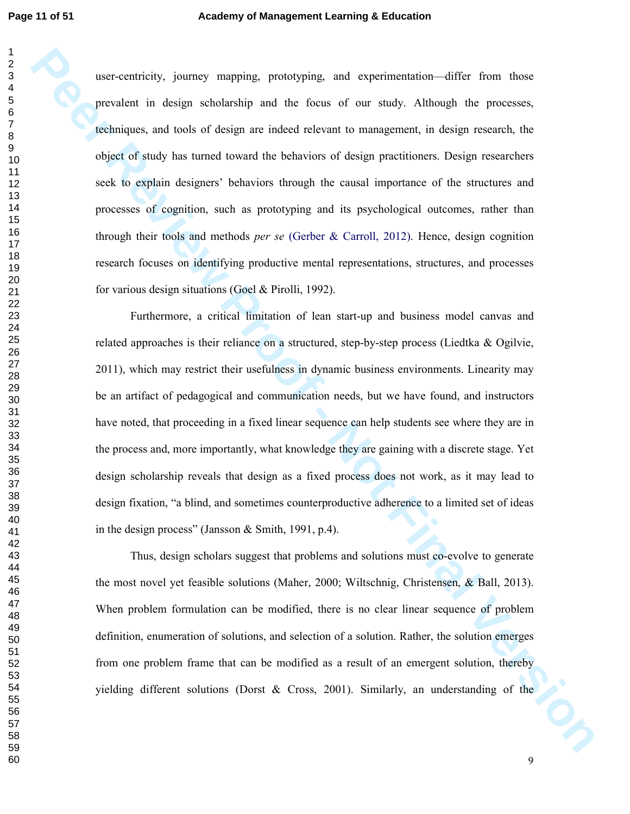**Peer centricity, journey mapping points/ying and experimentation differ from these personies, and experimentation and the focus of our analy. Although the processes, electricity and the solid of a focus of design resolute** user-centricity, journey mapping, prototyping, and experimentation—differ from those prevalent in design scholarship and the focus of our study. Although the processes, techniques, and tools of design are indeed relevant to management, in design research, the object of study has turned toward the behaviors of design practitioners. Design researchers seek to explain designers' behaviors through the causal importance of the structures and processes of cognition, such as prototyping and its psychological outcomes, rather than through their tools and methods *per se* (Gerber & Carroll, 2012). Hence, design cognition research focuses on identifying productive mental representations, structures, and processes for various design situations (Goel & Pirolli, 1992).

Furthermore, a critical limitation of lean start-up and business model canvas and related approaches is their reliance on a structured, step-by-step process (Liedtka & Ogilvie, 2011), which may restrict their usefulness in dynamic business environments. Linearity may be an artifact of pedagogical and communication needs, but we have found, and instructors have noted, that proceeding in a fixed linear sequence can help students see where they are in the process and, more importantly, what knowledge they are gaining with a discrete stage. Yet design scholarship reveals that design as a fixed process does not work, as it may lead to design fixation, "a blind, and sometimes counterproductive adherence to a limited set of ideas in the design process" (Jansson & Smith, 1991, p.4).

Thus, design scholars suggest that problems and solutions must co-evolve to generate the most novel yet feasible solutions (Maher, 2000; Wiltschnig, Christensen, & Ball, 2013). When problem formulation can be modified, there is no clear linear sequence of problem definition, enumeration of solutions, and selection of a solution. Rather, the solution emerges from one problem frame that can be modified as a result of an emergent solution, thereby yielding different solutions (Dorst & Cross, 2001). Similarly, an understanding of the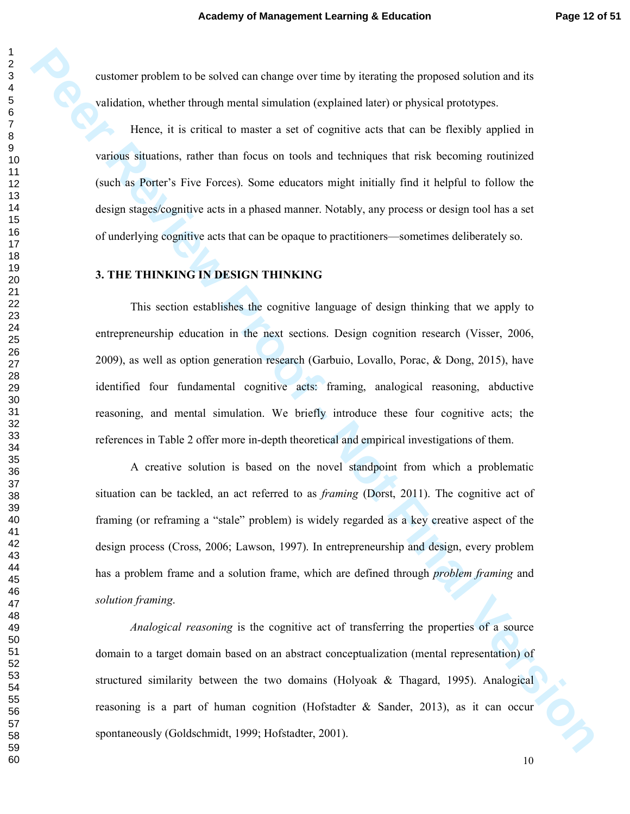customer problem to be solved can change over time by iterating the proposed solution and its validation, whether through mental simulation (explained later) or physical prototypes.

Hence, it is critical to master a set of cognitive acts that can be flexibly applied in various situations, rather than focus on tools and techniques that risk becoming routinized (such as Porter's Five Forces). Some educators might initially find it helpful to follow the design stages/cognitive acts in a phased manner. Notably, any process or design tool has a set of underlying cognitive acts that can be opaque to practitioners—sometimes deliberately so.

#### **3. THE THINKING IN DESIGN THINKING**

This section establishes the cognitive language of design thinking that we apply to entrepreneurship education in the next sections. Design cognition research (Visser, 2006, 2009), as well as option generation research (Garbuio, Lovallo, Porac, & Dong, 2015), have identified four fundamental cognitive acts: framing, analogical reasoning, abductive reasoning, and mental simulation. We briefly introduce these four cognitive acts; the references in Table 2 offer more in-depth theoretical and empirical investigations of them.

**PENTHER THE CONSIDERATION** INTO THE CONSIDERATION (THE CONSIDERATION) INTO THE SURVEY CONSIDERATION (THE CONSIDERATION CONSIDERATION) INTO THE CONSIDERATION (THE CONSIDERATION CONSIDERATION) INTO THE VERSION SURVEY THE V A creative solution is based on the novel standpoint from which a problematic situation can be tackled, an act referred to as *framing* (Dorst, 2011). The cognitive act of framing (or reframing a "stale" problem) is widely regarded as a key creative aspect of the design process (Cross, 2006; Lawson, 1997). In entrepreneurship and design, every problem has a problem frame and a solution frame, which are defined through *problem framing* and *solution framing*.

*Analogical reasoning* is the cognitive act of transferring the properties of a source domain to a target domain based on an abstract conceptualization (mental representation) of structured similarity between the two domains (Holyoak & Thagard, 1995). Analogical reasoning is a part of human cognition (Hofstadter & Sander, 2013), as it can occur spontaneously (Goldschmidt, 1999; Hofstadter, 2001).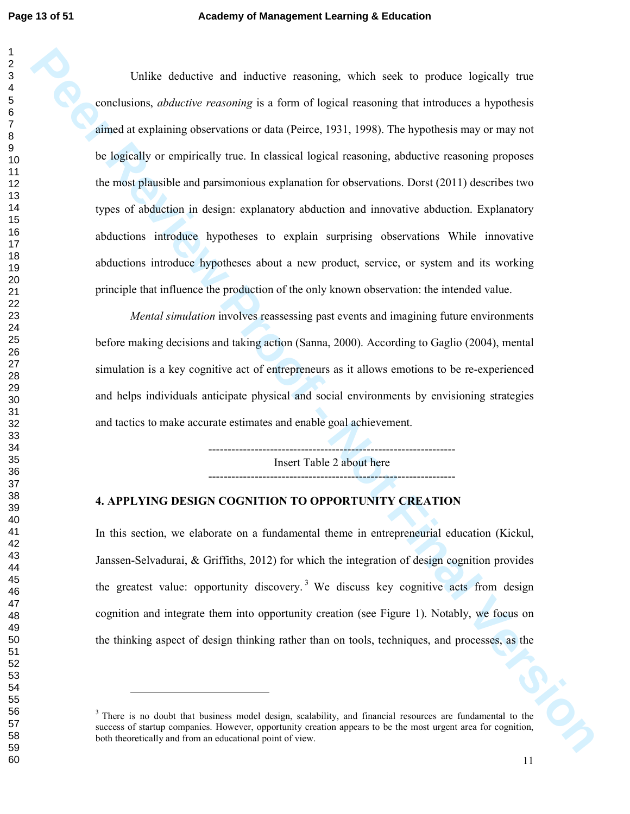**Per Revise and molecular and molecular system with section to the product buyers of contained at the contained at the contained at the contained at the contained at the contained at the contained buyers of the logically** Unlike deductive and inductive reasoning, which seek to produce logically true conclusions, *abductive reasoning* is a form of logical reasoning that introduces a hypothesis aimed at explaining observations or data (Peirce, 1931, 1998). The hypothesis may or may not be logically or empirically true. In classical logical reasoning, abductive reasoning proposes the most plausible and parsimonious explanation for observations. Dorst (2011) describes two types of abduction in design: explanatory abduction and innovative abduction. Explanatory abductions introduce hypotheses to explain surprising observations While innovative abductions introduce hypotheses about a new product, service, or system and its working principle that influence the production of the only known observation: the intended value.

*Mental simulation* involves reassessing past events and imagining future environments before making decisions and taking action (Sanna, 2000). According to Gaglio (2004), mental simulation is a key cognitive act of entrepreneurs as it allows emotions to be re-experienced and helps individuals anticipate physical and social environments by envisioning strategies and tactics to make accurate estimates and enable goal achievement.

> ---------------------------------------------------------------- Insert Table 2 about here

#### **4. APPLYING DESIGN COGNITION TO OPPORTUNITY CREATION**

In this section, we elaborate on a fundamental theme in entrepreneurial education (Kickul, Janssen-Selvadurai, & Griffiths, 2012) for which the integration of design cognition provides the greatest value: opportunity discovery.<sup>3</sup> We discuss key cognitive acts from design cognition and integrate them into opportunity creation (see Figure 1). Notably, we focus on the thinking aspect of design thinking rather than on tools, techniques, and processes, as the

-

the Contract of the Contract of the Contract of the Contract of the Contract of the Contract of the Contract of the Contract of the Contract of the Contract of the Contract of the Contract of the Contract of the Contract o <sup>3</sup> There is no doubt that business model design, scalability, and financial resources are fundamental to the success of startup companies. However, opportunity creation appears to be the most urgent area for cognition, both theoretically and from an educational point of view.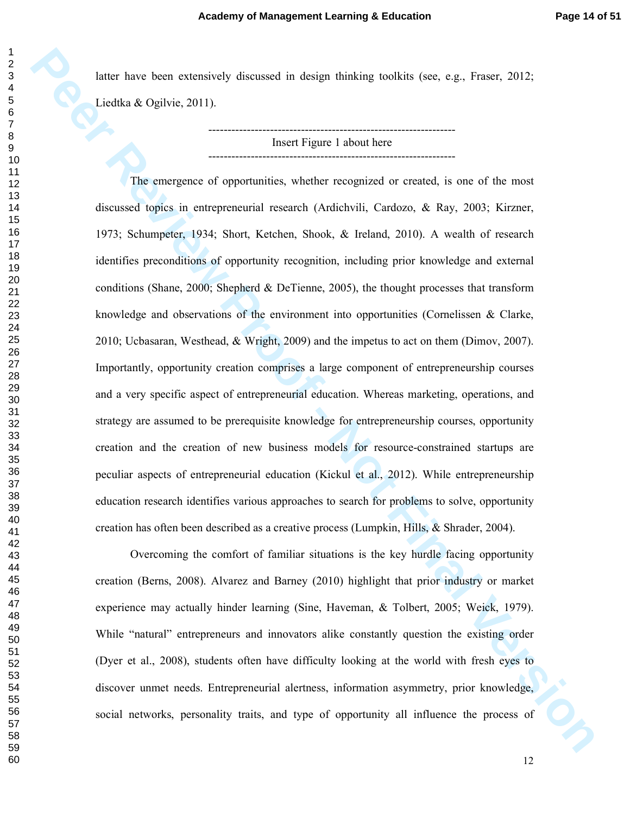latter have been extensively discussed in design thinking toolkits (see, e.g., Fraser, 2012; Liedtka & Ogilvie, 2011).

> ---------------------------------------------------------------- Insert Figure 1 about here ----------------------------------------------------------------

Latter have heart extensively discussed in design limiting toolkies (see, e.g., linear, 2012,<br> **Peer Review Proof - Note Figure 1 about the computation**<br> **Peer Review Proof - Note Figure 1 about the computation**<br> **Peer Re** The emergence of opportunities, whether recognized or created, is one of the most discussed topics in entrepreneurial research (Ardichvili, Cardozo, & Ray, 2003; Kirzner, 1973; Schumpeter, 1934; Short, Ketchen, Shook, & Ireland, 2010). A wealth of research identifies preconditions of opportunity recognition, including prior knowledge and external conditions (Shane, 2000; Shepherd & DeTienne, 2005), the thought processes that transform knowledge and observations of the environment into opportunities (Cornelissen & Clarke, 2010; Ucbasaran, Westhead, & Wright, 2009) and the impetus to act on them (Dimov, 2007). Importantly, opportunity creation comprises a large component of entrepreneurship courses and a very specific aspect of entrepreneurial education. Whereas marketing, operations, and strategy are assumed to be prerequisite knowledge for entrepreneurship courses, opportunity creation and the creation of new business models for resource-constrained startups are peculiar aspects of entrepreneurial education (Kickul et al., 2012). While entrepreneurship education research identifies various approaches to search for problems to solve, opportunity creation has often been described as a creative process (Lumpkin, Hills, & Shrader, 2004).

Overcoming the comfort of familiar situations is the key hurdle facing opportunity creation (Berns, 2008). Alvarez and Barney (2010) highlight that prior industry or market experience may actually hinder learning (Sine, Haveman, & Tolbert, 2005; Weick, 1979). While "natural" entrepreneurs and innovators alike constantly question the existing order (Dyer et al., 2008), students often have difficulty looking at the world with fresh eyes to discover unmet needs. Entrepreneurial alertness, information asymmetry, prior knowledge, social networks, personality traits, and type of opportunity all influence the process of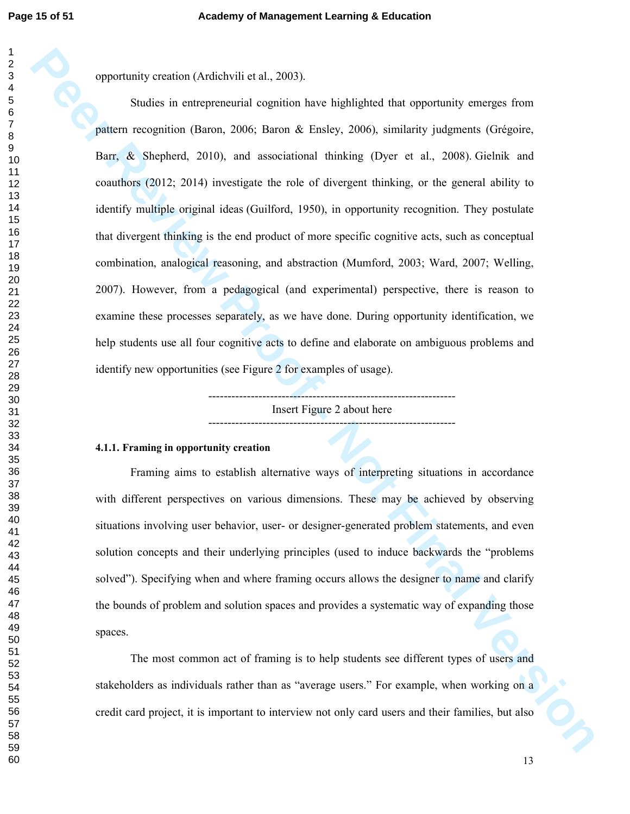opportunity creation (Ardichvili et al., 2003).

**Peparturely creation (Melabolis d.at**), 2003)<br> **Sociies in entrepreneutatic equation have highlighted that opportunity enterges from<br>
platear recognition (Baron, 2006; Baron & Ensley, 2006), similarity judgments (Orégoire** Studies in entrepreneurial cognition have highlighted that opportunity emerges from pattern recognition (Baron, 2006; Baron & Ensley, 2006), similarity judgments (Grégoire, Barr, & Shepherd, 2010), and associational thinking (Dyer et al., 2008). Gielnik and coauthors (2012; 2014) investigate the role of divergent thinking, or the general ability to identify multiple original ideas (Guilford, 1950), in opportunity recognition. They postulate that divergent thinking is the end product of more specific cognitive acts, such as conceptual combination, analogical reasoning, and abstraction (Mumford, 2003; Ward, 2007; Welling, 2007). However, from a pedagogical (and experimental) perspective, there is reason to examine these processes separately, as we have done. During opportunity identification, we help students use all four cognitive acts to define and elaborate on ambiguous problems and identify new opportunities (see Figure 2 for examples of usage).

---------------------------------------------------------------- Insert Figure 2 about here ----------------------------------------------------------------

#### **4.1.1. Framing in opportunity creation**

Framing aims to establish alternative ways of interpreting situations in accordance with different perspectives on various dimensions. These may be achieved by observing situations involving user behavior, user- or designer-generated problem statements, and even solution concepts and their underlying principles (used to induce backwards the "problems solved"). Specifying when and where framing occurs allows the designer to name and clarify the bounds of problem and solution spaces and provides a systematic way of expanding those spaces.

The most common act of framing is to help students see different types of users and stakeholders as individuals rather than as "average users." For example, when working on a credit card project, it is important to interview not only card users and their families, but also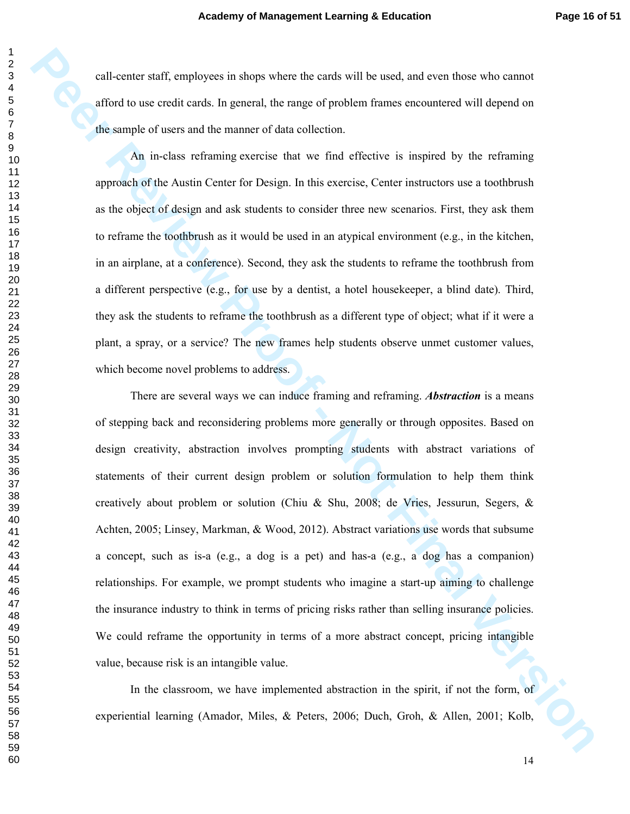call-center staff, employees in shops where the cards will be used, and even those who cannot afford to use credit cards. In general, the range of problem frames encountered will depend on the sample of users and the manner of data collection.

An in-class reframing exercise that we find effective is inspired by the reframing approach of the Austin Center for Design. In this exercise, Center instructors use a toothbrush as the object of design and ask students to consider three new scenarios. First, they ask them to reframe the toothbrush as it would be used in an atypical environment (e.g., in the kitchen, in an airplane, at a conference). Second, they ask the students to reframe the toothbrush from a different perspective (e.g., for use by a dentist, a hotel housekeeper, a blind date). Third, they ask the students to reframe the toothbrush as a different type of object; what if it were a plant, a spray, or a service? The new frames help students observe unmet customer values, which become novel problems to address.

**Pathers to F**, employees in shape where the casek well be used, and even hosted via entired affects on the simple of tests and the manner of data collection.<br> **An** in-class is diaming exercise that we find effective is i There are several ways we can induce framing and reframing. *Abstraction* is a means of stepping back and reconsidering problems more generally or through opposites. Based on design creativity, abstraction involves prompting students with abstract variations of statements of their current design problem or solution formulation to help them think creatively about problem or solution (Chiu & Shu, 2008; de Vries, Jessurun, Segers, & Achten, 2005; Linsey, Markman, & Wood, 2012). Abstract variations use words that subsume a concept, such as is-a (e.g., a dog is a pet) and has-a (e.g., a dog has a companion) relationships. For example, we prompt students who imagine a start-up aiming to challenge the insurance industry to think in terms of pricing risks rather than selling insurance policies. We could reframe the opportunity in terms of a more abstract concept, pricing intangible value, because risk is an intangible value.

In the classroom, we have implemented abstraction in the spirit, if not the form, of experiential learning (Amador, Miles, & Peters, 2006; Duch, Groh, & Allen, 2001; Kolb,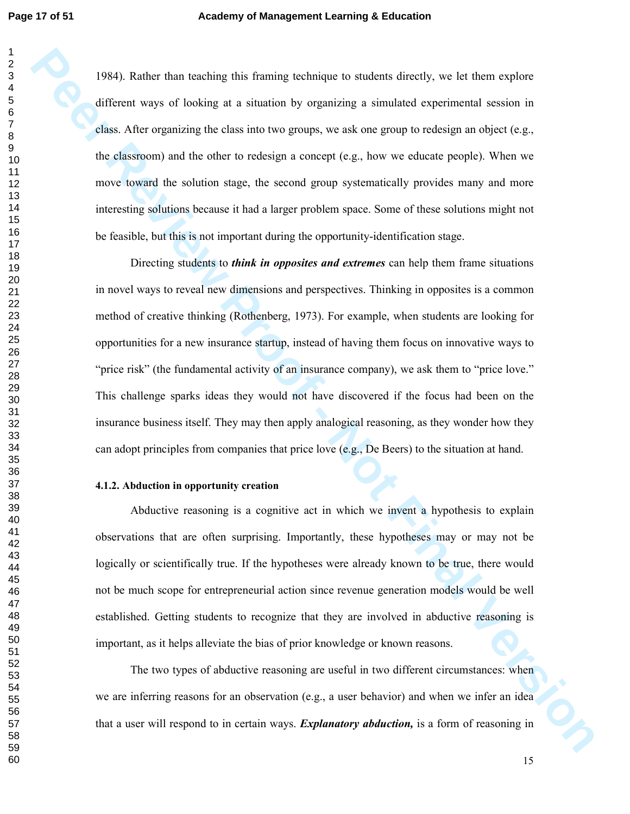1984). Rather than teaching this framing technique to students directly, we let them explore different ways of looking at a situation by organizing a simulated experimental session in class. After organizing the class into two groups, we ask one group to redesign an object (e.g., the classroom) and the other to redesign a concept (e.g., how we educate people). When we move toward the solution stage, the second group systematically provides many and more interesting solutions because it had a larger problem space. Some of these solutions might not be feasible, but this is not important during the opportunity-identification stage.

**PR41.** Rather than isoshing this framing including a simulated shouldly, we let then explore different ways of looking at a simulation by organizing a simulated experimental scales in class. After organizing the class in Directing students to *think in opposites and extremes* can help them frame situations in novel ways to reveal new dimensions and perspectives. Thinking in opposites is a common method of creative thinking (Rothenberg, 1973). For example, when students are looking for opportunities for a new insurance startup, instead of having them focus on innovative ways to "price risk" (the fundamental activity of an insurance company), we ask them to "price love." This challenge sparks ideas they would not have discovered if the focus had been on the insurance business itself. They may then apply analogical reasoning, as they wonder how they can adopt principles from companies that price love (e.g., De Beers) to the situation at hand.

#### **4.1.2. Abduction in opportunity creation**

Abductive reasoning is a cognitive act in which we invent a hypothesis to explain observations that are often surprising. Importantly, these hypotheses may or may not be logically or scientifically true. If the hypotheses were already known to be true, there would not be much scope for entrepreneurial action since revenue generation models would be well established. Getting students to recognize that they are involved in abductive reasoning is important, as it helps alleviate the bias of prior knowledge or known reasons.

The two types of abductive reasoning are useful in two different circumstances: when we are inferring reasons for an observation (e.g., a user behavior) and when we infer an idea that a user will respond to in certain ways. *Explanatory abduction,* is a form of reasoning in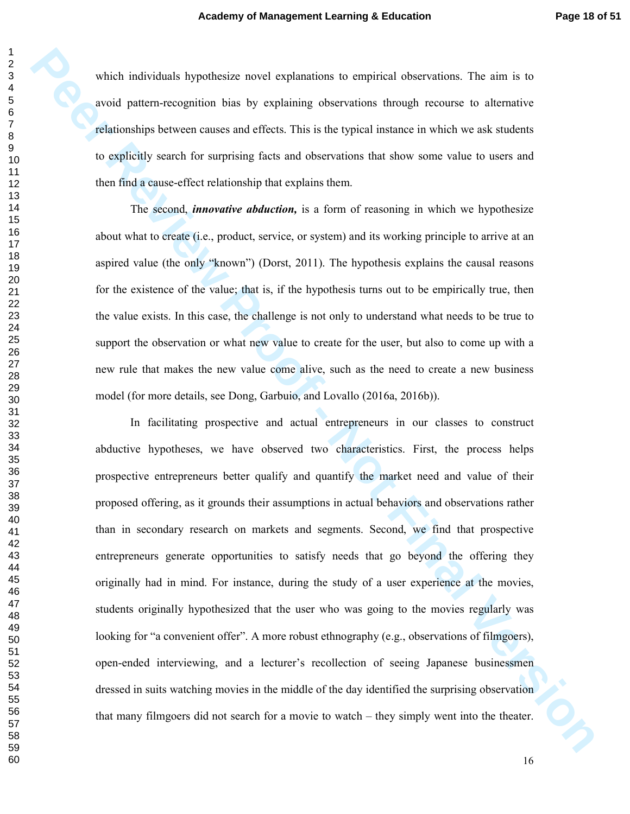which individuals hypothesize novel explanations to empirical observations. The aim is to avoid pattern-recognition bias by explaining observations through recourse to alternative relationships between causes and effects. This is the typical instance in which we ask students to explicitly search for surprising facts and observations that show some value to users and then find a cause-effect relationship that explains them.

 The second, *innovative abduction,* is a form of reasoning in which we hypothesize about what to create (i.e., product, service, or system) and its working principle to arrive at an aspired value (the only "known") (Dorst, 2011). The hypothesis explains the causal reasons for the existence of the value; that is, if the hypothesis turns out to be empirically true, then the value exists. In this case, the challenge is not only to understand what needs to be true to support the observation or what new value to create for the user, but also to come up with a new rule that makes the new value come alive, such as the need to create a new business model (for more details, see Dong, Garbuio, and Lovallo (2016a, 2016b)).

which individuals hypothesize oncel explanations to empirical intervalsies. The aim is to avoid param-recognition bias by explaining observations through recours to discussive pelationships between causes and elfects. Thi In facilitating prospective and actual entrepreneurs in our classes to construct abductive hypotheses, we have observed two characteristics. First, the process helps prospective entrepreneurs better qualify and quantify the market need and value of their proposed offering, as it grounds their assumptions in actual behaviors and observations rather than in secondary research on markets and segments. Second, we find that prospective entrepreneurs generate opportunities to satisfy needs that go beyond the offering they originally had in mind. For instance, during the study of a user experience at the movies, students originally hypothesized that the user who was going to the movies regularly was looking for "a convenient offer". A more robust ethnography (e.g., observations of filmgoers), open-ended interviewing, and a lecturer's recollection of seeing Japanese businessmen dressed in suits watching movies in the middle of the day identified the surprising observation that many filmgoers did not search for a movie to watch – they simply went into the theater.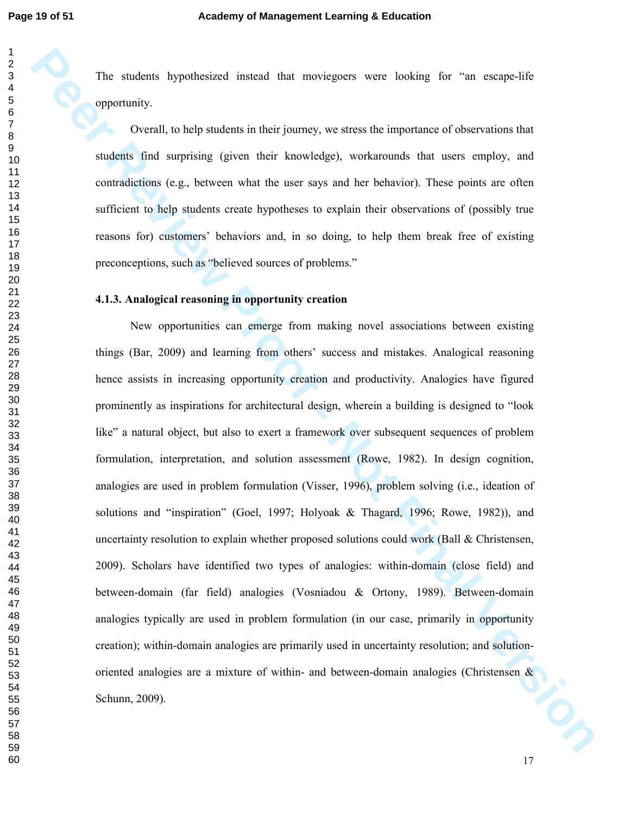The students hypothesized instead that moviegoers were looking for "an escape-life opportunity.

Overall, to help students in their journey, we stress the importance of observations that students find surprising (given their knowledge), workarounds that users employ, and contradictions (e.g., between what the user says and her behavior). These points are often sufficient to help students create hypotheses to explain their observations of (possibly true reasons for) customers' behaviors and, in so doing, to help them break free of existing preconceptions, such as "believed sources of problems."

#### **4.1.3. Analogical reasoning in opportunity creation**

**Per stackers** by a these directed from the metropology were backing for "an example for expected opportunity.<br> **Peerall, to belo students in due from the system as the importance of observations for<br>
stacking final statis** New opportunities can emerge from making novel associations between existing things (Bar, 2009) and learning from others' success and mistakes. Analogical reasoning hence assists in increasing opportunity creation and productivity. Analogies have figured prominently as inspirations for architectural design, wherein a building is designed to "look like" a natural object, but also to exert a framework over subsequent sequences of problem formulation, interpretation, and solution assessment (Rowe, 1982). In design cognition, analogies are used in problem formulation (Visser, 1996), problem solving (i.e., ideation of solutions and "inspiration" (Goel, 1997; Holyoak & Thagard, 1996; Rowe, 1982)), and uncertainty resolution to explain whether proposed solutions could work (Ball  $\&$  Christensen, 2009). Scholars have identified two types of analogies: within-domain (close field) and between-domain (far field) analogies (Vosniadou & Ortony, 1989). Between-domain analogies typically are used in problem formulation (in our case, primarily in opportunity creation); within-domain analogies are primarily used in uncertainty resolution; and solutionoriented analogies are a mixture of within- and between-domain analogies (Christensen & Schunn, 2009). Schunn, 2009).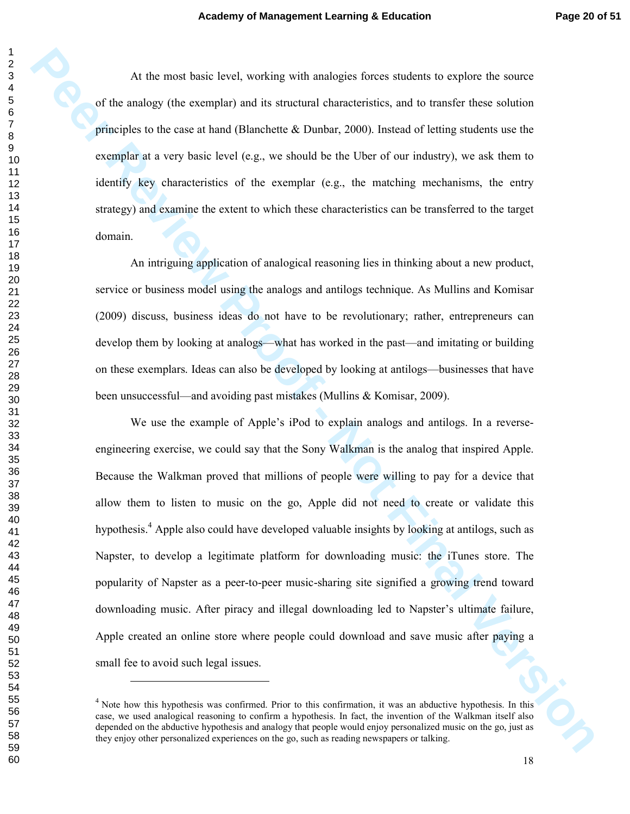At the most basic level, working with analogies forces students to explore the source of the analogy (the exemplar) and its structural characteristics, and to transfer these solution principles to the case at hand (Blanchette & Dunbar, 2000). Instead of letting students use the exemplar at a very basic level (e.g., we should be the Uber of our industry), we ask them to identify key characteristics of the exemplar (e.g., the matching mechanisms, the entry strategy) and examine the extent to which these characteristics can be transferred to the target domain.

An intriguing application of analogical reasoning lies in thinking about a new product, service or business model using the analogs and antilogs technique. As Mullins and Komisar (2009) discuss, business ideas do not have to be revolutionary; rather, entrepreneurs can develop them by looking at analogs—what has worked in the past—and imitating or building on these exemplars. Ideas can also be developed by looking at antilogs—businesses that have been unsuccessful—and avoiding past mistakes (Mullins & Komisar, 2009).

At the meat tests (see), we knowledge of these stadiets to explore the state<br>of the analogy tide steenphr) and its arrowing internetwisting, and to transfer these solution<br>principles to the case at hand (Blanchette & Dunb We use the example of Apple's iPod to explain analogs and antilogs. In a reverseengineering exercise, we could say that the Sony Walkman is the analog that inspired Apple. Because the Walkman proved that millions of people were willing to pay for a device that allow them to listen to music on the go, Apple did not need to create or validate this hypothesis.<sup>4</sup> Apple also could have developed valuable insights by looking at antilogs, such as Napster, to develop a legitimate platform for downloading music: the iTunes store. The popularity of Napster as a peer-to-peer music-sharing site signified a growing trend toward downloading music. After piracy and illegal downloading led to Napster's ultimate failure, Apple created an online store where people could download and save music after paying a small fee to avoid such legal issues.

-

<sup>&</sup>lt;sup>4</sup> Note how this hypothesis was confirmed. Prior to this confirmation, it was an abductive hypothesis. In this case, we used analogical reasoning to confirm a hypothesis. In fact, the invention of the Walkman itself also depended on the abductive hypothesis and analogy that people would enjoy personalized music on the go, just as they enjoy other personalized experiences on the go, such as reading newspapers or talking.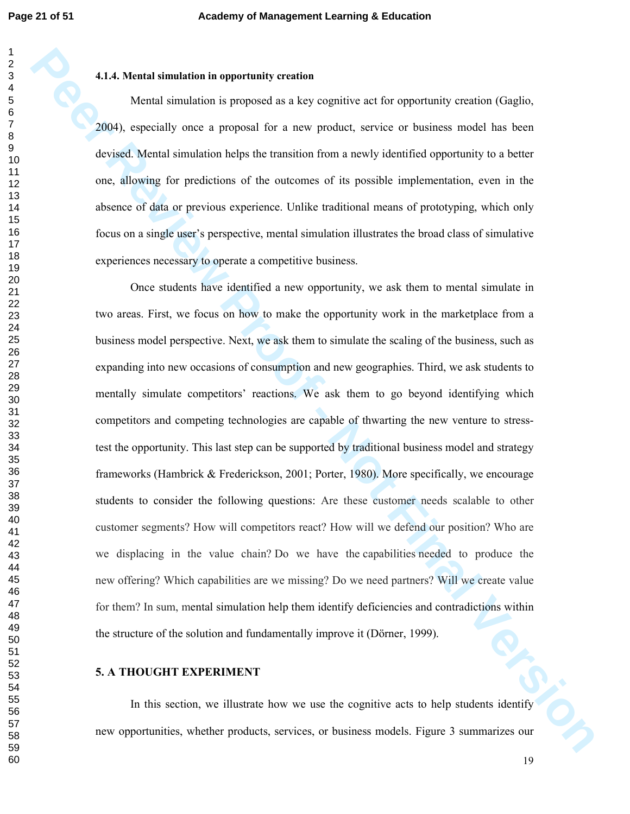#### **4.1.4. Mental simulation in opportunity creation**

Mental simulation is proposed as a key cognitive act for opportunity creation (Gaglio, 2004), especially once a proposal for a new product, service or business model has been devised. Mental simulation helps the transition from a newly identified opportunity to a better one, allowing for predictions of the outcomes of its possible implementation, even in the absence of data or previous experience. Unlike traditional means of prototyping, which only focus on a single user's perspective, mental simulation illustrates the broad class of simulative experiences necessary to operate a competitive business.

**ELLA Mental simulation in opportunity ensurion**<br>Wental simulation is proposal ax it dcy organize and in expertainty ensuries (Gaglin,<br>2004), especially once a proposal for a new product, service or business model has bee Once students have identified a new opportunity, we ask them to mental simulate in two areas. First, we focus on how to make the opportunity work in the marketplace from a business model perspective. Next, we ask them to simulate the scaling of the business, such as expanding into new occasions of consumption and new geographies. Third, we ask students to mentally simulate competitors' reactions. We ask them to go beyond identifying which competitors and competing technologies are capable of thwarting the new venture to stresstest the opportunity. This last step can be supported by traditional business model and strategy frameworks (Hambrick & Frederickson, 2001; Porter, 1980). More specifically, we encourage students to consider the following questions: Are these customer needs scalable to other customer segments? How will competitors react? How will we defend our position? Who are we displacing in the value chain? Do we have the capabilities needed to produce the new offering? Which capabilities are we missing? Do we need partners? Will we create value for them? In sum, mental simulation help them identify deficiencies and contradictions within the structure of the solution and fundamentally improve it (Dörner, 1999).

#### **5. A THOUGHT EXPERIMENT**

In this section, we illustrate how we use the cognitive acts to help students identify new opportunities, whether products, services, or business models. Figure 3 summarizes our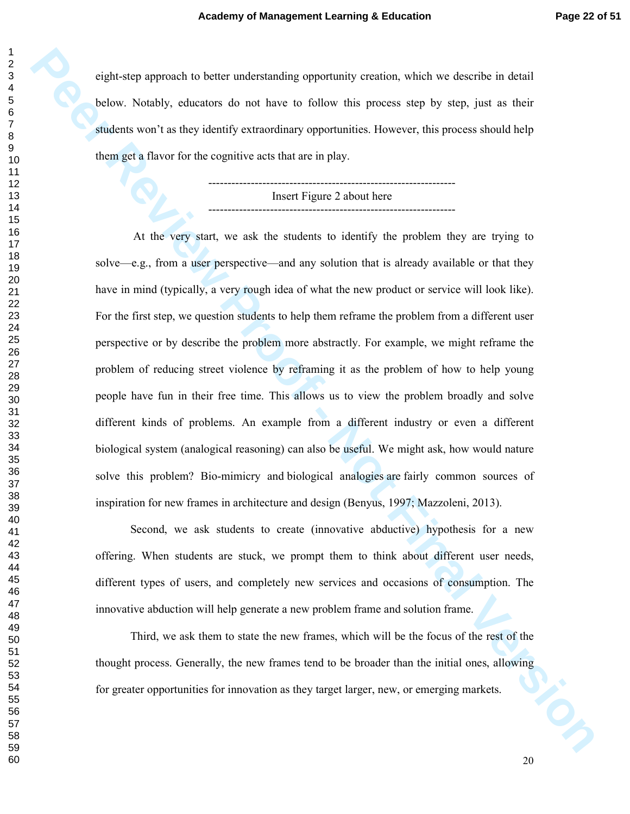eight-step approach to better understanding opportunity creation, which we describe in detail below. Notably, educators do not have to follow this process step by step, just as their students won't as they identify extraordinary opportunities. However, this process should help them get a flavor for the cognitive acts that are in play.

> ---------------------------------------------------------------- Insert Figure 2 about here ----------------------------------------------------------------

**Peyta -ster approach to believ and a starting apportantly versions, which we describe in datal<br>
Delow, Notably, educators do not have to follow this process step by acq. for as their<br>
<b>Photon set allows** for the sognifice At the very start, we ask the students to identify the problem they are trying to solve—e.g., from a user perspective—and any solution that is already available or that they have in mind (typically, a very rough idea of what the new product or service will look like). For the first step, we question students to help them reframe the problem from a different user perspective or by describe the problem more abstractly. For example, we might reframe the problem of reducing street violence by reframing it as the problem of how to help young people have fun in their free time. This allows us to view the problem broadly and solve different kinds of problems. An example from a different industry or even a different biological system (analogical reasoning) can also be useful. We might ask, how would nature solve this problem? Bio-mimicry and biological analogies are fairly common sources of inspiration for new frames in architecture and design (Benyus, 1997; Mazzoleni, 2013).

Second, we ask students to create (innovative abductive) hypothesis for a new offering. When students are stuck, we prompt them to think about different user needs, different types of users, and completely new services and occasions of consumption. The innovative abduction will help generate a new problem frame and solution frame.

20<br>20<br>20 Third, we ask them to state the new frames, which will be the focus of the rest of the thought process. Generally, the new frames tend to be broader than the initial ones, allowing for greater opportunities for innovation as they target larger, new, or emerging markets.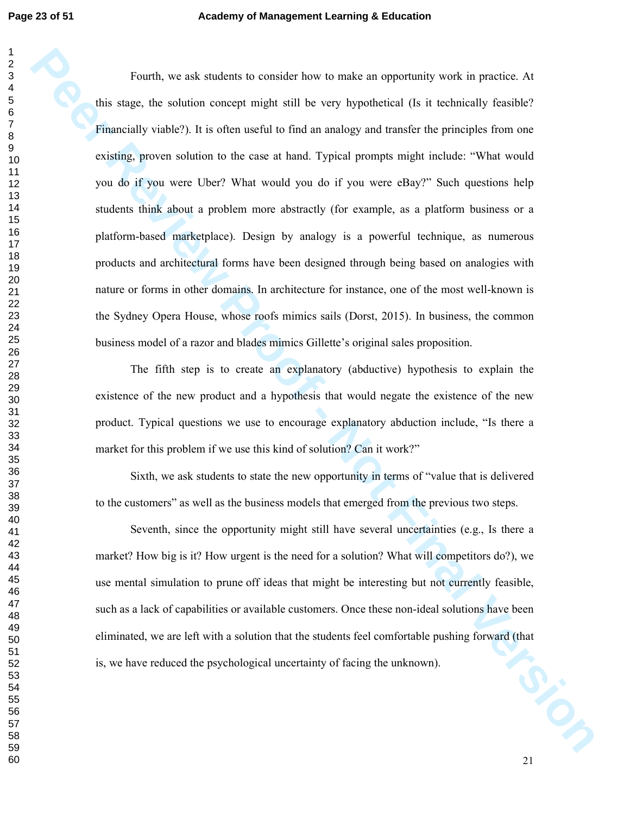**Penrift, we not statent in consider how in make an expectancy work in particle At<br>
this ange, the solution concept might atill be very hypothetical (Is it reduced).<br>
<b>Principally version**  $P$ , it is other useful to that Fourth, we ask students to consider how to make an opportunity work in practice. At this stage, the solution concept might still be very hypothetical (Is it technically feasible? Financially viable?). It is often useful to find an analogy and transfer the principles from one existing, proven solution to the case at hand. Typical prompts might include: "What would you do if you were Uber? What would you do if you were eBay?" Such questions help students think about a problem more abstractly (for example, as a platform business or a platform-based marketplace). Design by analogy is a powerful technique, as numerous products and architectural forms have been designed through being based on analogies with nature or forms in other domains. In architecture for instance, one of the most well-known is the Sydney Opera House, whose roofs mimics sails (Dorst, 2015). In business, the common business model of a razor and blades mimics Gillette's original sales proposition.

The fifth step is to create an explanatory (abductive) hypothesis to explain the existence of the new product and a hypothesis that would negate the existence of the new product. Typical questions we use to encourage explanatory abduction include, "Is there a market for this problem if we use this kind of solution? Can it work?"

Sixth, we ask students to state the new opportunity in terms of "value that is delivered to the customers" as well as the business models that emerged from the previous two steps.

Seventh, since the opportunity might still have several uncertainties (e.g., Is there a market? How big is it? How urgent is the need for a solution? What will competitors do?), we use mental simulation to prune off ideas that might be interesting but not currently feasible, such as a lack of capabilities or available customers. Once these non-ideal solutions have been eliminated, we are left with a solution that the students feel comfortable pushing forward (that is, we have reduced the psychological uncertainty of facing the unknown).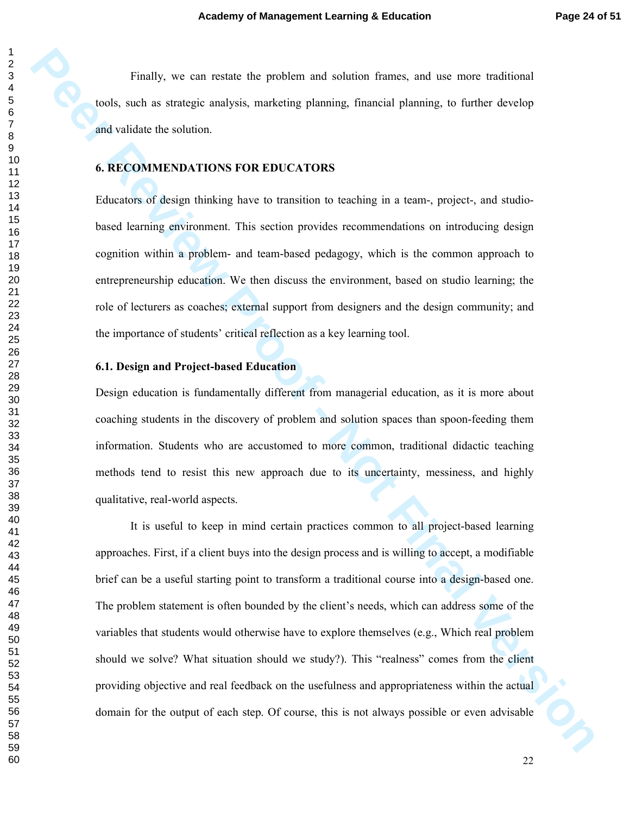Finally, we can restate the problem and solution frames, and use more traditional tools, such as strategic analysis, marketing planning, financial planning, to further develop and validate the solution.

#### **6. RECOMMENDATIONS FOR EDUCATORS**

Educators of design thinking have to transition to teaching in a team-, project-, and studiobased learning environment. This section provides recommendations on introducing design cognition within a problem- and team-based pedagogy, which is the common approach to entrepreneurship education. We then discuss the environment, based on studio learning; the role of lecturers as coaches; external support from designers and the design community; and the importance of students' critical reflection as a key learning tool.

#### **6.1. Design and Project-based Education**

Design education is fundamentally different from managerial education, as it is more about coaching students in the discovery of problem and solution spaces than spoon-feeding them information. Students who are accustomed to more common, traditional didactic teaching methods tend to resist this new approach due to its uncertainty, messiness, and highly qualitative, real-world aspects.

Finally, we can restain the problem and solidar frames, and use more inadicated<br>resolution the solution.<br>**Peer Altitude Device Constant Constant Constant Constant Constant Constant Constant Constant Constant Constant<br>Figu** It is useful to keep in mind certain practices common to all project-based learning approaches. First, if a client buys into the design process and is willing to accept, a modifiable brief can be a useful starting point to transform a traditional course into a design-based one. The problem statement is often bounded by the client's needs, which can address some of the variables that students would otherwise have to explore themselves (e.g., Which real problem should we solve? What situation should we study?). This "realness" comes from the client providing objective and real feedback on the usefulness and appropriateness within the actual domain for the output of each step. Of course, this is not always possible or even advisable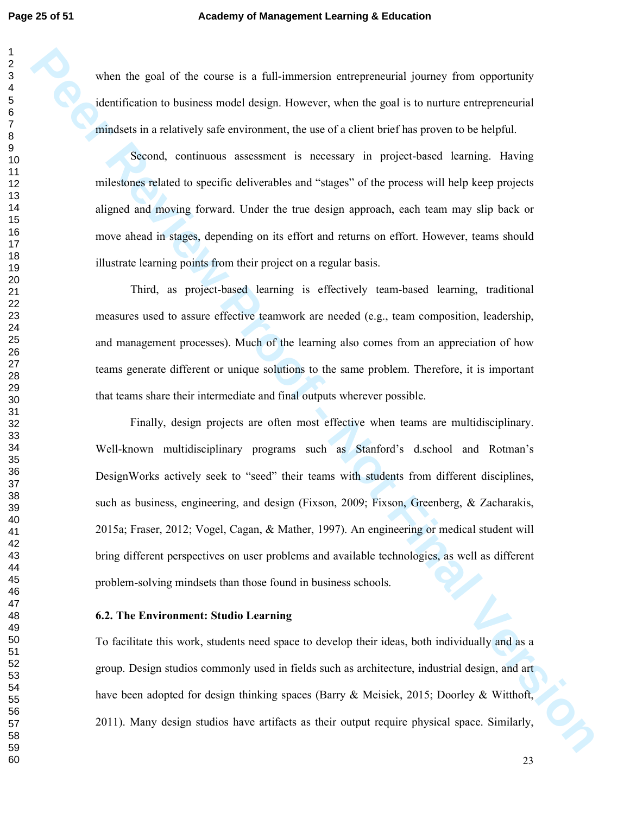when the goal of the course is a full-immersion entrepreneurial journey from opportunity identification to business model design. However, when the goal is to nurture entrepreneurial mindsets in a relatively safe environment, the use of a client brief has proven to be helpful.

Second, continuous assessment is necessary in project-based learning. Having milestones related to specific deliverables and "stages" of the process will help keep projects aligned and moving forward. Under the true design approach, each team may slip back or move ahead in stages, depending on its effort and returns on effort. However, teams should illustrate learning points from their project on a regular basis.

Third, as project-based learning is effectively team-based learning, traditional measures used to assure effective teamwork are needed (e.g., team composition, leadership, and management processes). Much of the learning also comes from an appreciation of how teams generate different or unique solutions to the same problem. Therefore, it is important that teams share their intermediate and final outputs wherever possible.

when the gant of the connective at follower<br>entertainment and the connective properties of the set of the set of the set of the set of the set of the set of the set of the set of the set of the set of the set of the set o Finally, design projects are often most effective when teams are multidisciplinary. Well-known multidisciplinary programs such as Stanford's d.school and Rotman's DesignWorks actively seek to "seed" their teams with students from different disciplines, such as business, engineering, and design (Fixson, 2009; Fixson, Greenberg, & Zacharakis, 2015a; Fraser, 2012; Vogel, Cagan, & Mather, 1997). An engineering or medical student will bring different perspectives on user problems and available technologies, as well as different problem-solving mindsets than those found in business schools.

#### **6.2. The Environment: Studio Learning**

To facilitate this work, students need space to develop their ideas, both individually and as a group. Design studios commonly used in fields such as architecture, industrial design, and art have been adopted for design thinking spaces (Barry & Meisiek, 2015; Doorley & Witthoft, 2011). Many design studios have artifacts as their output require physical space. Similarly,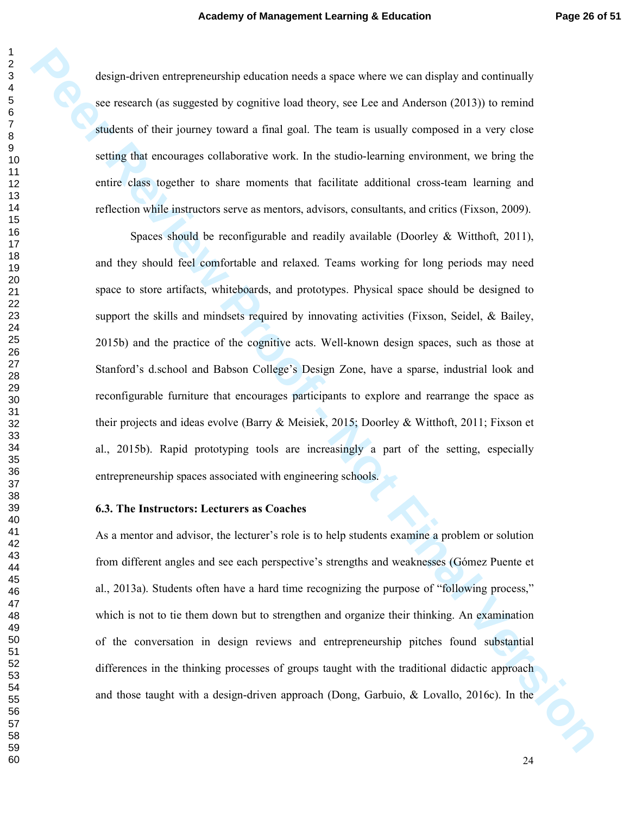design-driven entrepreneurship education needs a space where we can display and continually see research (as suggested by cognitive load theory, see Lee and Anderson (2013)) to remind students of their journey toward a final goal. The team is usually composed in a very close setting that encourages collaborative work. In the studio-learning environment, we bring the entire class together to share moments that facilitate additional cross-team learning and reflection while instructors serve as mentors, advisors, consultants, and critics (Fixson, 2009).

**Peer drown orthoponeum-bip education meaks space where we can deply and community<br>set research (as angested by cognitive boat theory, see Lee and Anderson (2013)) to remind<br>substitute of their journey toward a final goal.** Spaces should be reconfigurable and readily available (Doorley & Witthoft, 2011), and they should feel comfortable and relaxed. Teams working for long periods may need space to store artifacts, whiteboards, and prototypes. Physical space should be designed to support the skills and mindsets required by innovating activities (Fixson, Seidel, & Bailey, 2015b) and the practice of the cognitive acts. Well-known design spaces, such as those at Stanford's d.school and Babson College's Design Zone, have a sparse, industrial look and reconfigurable furniture that encourages participants to explore and rearrange the space as their projects and ideas evolve (Barry & Meisiek, 2015; Doorley & Witthoft, 2011; Fixson et al., 2015b). Rapid prototyping tools are increasingly a part of the setting, especially entrepreneurship spaces associated with engineering schools.

#### **6.3. The Instructors: Lecturers as Coaches**

As a mentor and advisor, the lecturer's role is to help students examine a problem or solution from different angles and see each perspective's strengths and weaknesses (Gómez Puente et al., 2013a). Students often have a hard time recognizing the purpose of "following process," which is not to tie them down but to strengthen and organize their thinking. An examination of the conversation in design reviews and entrepreneurship pitches found substantial differences in the thinking processes of groups taught with the traditional didactic approach and those taught with a design-driven approach (Dong, Garbuio, & Lovallo, 2016c). In the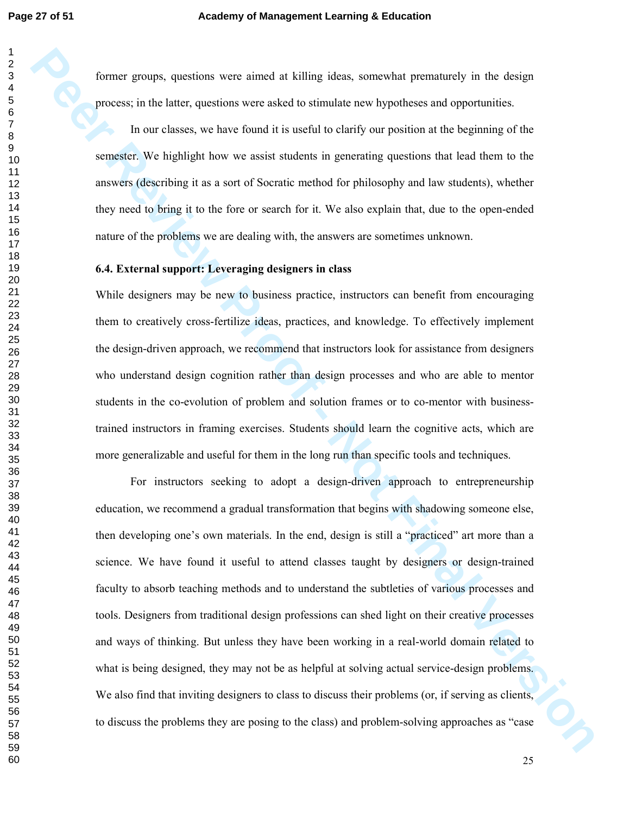former groups, questions were aimed at killing ideas, somewhat prematurely in the design process; in the latter, questions were asked to stimulate new hypotheses and opportunities.

In our classes, we have found it is useful to clarify our position at the beginning of the semester. We highlight how we assist students in generating questions that lead them to the answers (describing it as a sort of Socratic method for philosophy and law students), whether they need to bring it to the fore or search for it. We also explain that, due to the open-ended nature of the problems we are dealing with, the answers are sometimes unknown.

#### **6.4. External support: Leveraging designers in class**

While designers may be new to business practice, instructors can benefit from encouraging them to creatively cross-fertilize ideas, practices, and knowledge. To effectively implement the design-driven approach, we recommend that instructors look for assistance from designers who understand design cognition rather than design processes and who are able to mentor students in the co-evolution of problem and solution frames or to co-mentor with businesstrained instructors in framing exercises. Students should learn the cognitive acts, which are more generalizable and useful for them in the long run than specific tools and techniques.

Former groups, questions were arread at Urling videas, somewhat premetatorly in the design process; in the latter, questions were asked to stimulate new hypotheses and opportunities.<br>
In our classes, we have found it is us For instructors seeking to adopt a design-driven approach to entrepreneurship education, we recommend a gradual transformation that begins with shadowing someone else, then developing one's own materials. In the end, design is still a "practiced" art more than a science. We have found it useful to attend classes taught by designers or design-trained faculty to absorb teaching methods and to understand the subtleties of various processes and tools. Designers from traditional design professions can shed light on their creative processes and ways of thinking. But unless they have been working in a real-world domain related to what is being designed, they may not be as helpful at solving actual service-design problems. We also find that inviting designers to class to discuss their problems (or, if serving as clients, to discuss the problems they are posing to the class) and problem-solving approaches as "case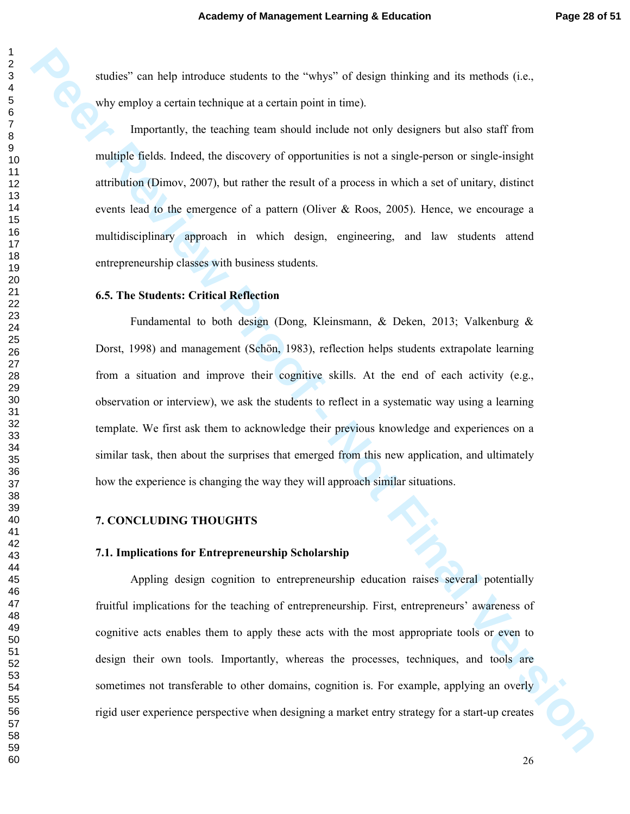studies" can help introduce students to the "whys" of design thinking and its methods (i.e., why employ a certain technique at a certain point in time).

Importantly, the teaching team should include not only designers but also staff from multiple fields. Indeed, the discovery of opportunities is not a single-person or single-insight attribution (Dimov, 2007), but rather the result of a process in which a set of unitary, distinct events lead to the emergence of a pattern (Oliver  $\&$  Roos, 2005). Hence, we encourage a multidisciplinary approach in which design, engineering, and law students attend entrepreneurship classes with business students.

#### **6.5. The Students: Critical Reflection**

**Petrical Version Constrainers** to the "why"" of design divideng and its methods (i.e.,<br>why employ a certain celanique at a certain point in time).<br> **Proportionally,** the leasting team sheald include not estil polymera but Fundamental to both design (Dong, Kleinsmann, & Deken, 2013; Valkenburg & Dorst, 1998) and management (Schön, 1983), reflection helps students extrapolate learning from a situation and improve their cognitive skills. At the end of each activity (e.g., observation or interview), we ask the students to reflect in a systematic way using a learning template. We first ask them to acknowledge their previous knowledge and experiences on a similar task, then about the surprises that emerged from this new application, and ultimately how the experience is changing the way they will approach similar situations.

#### **7. CONCLUDING THOUGHTS**

#### **7.1. Implications for Entrepreneurship Scholarship**

Appling design cognition to entrepreneurship education raises several potentially fruitful implications for the teaching of entrepreneurship. First, entrepreneurs' awareness of cognitive acts enables them to apply these acts with the most appropriate tools or even to design their own tools. Importantly, whereas the processes, techniques, and tools are sometimes not transferable to other domains, cognition is. For example, applying an overly rigid user experience perspective when designing a market entry strategy for a start-up creates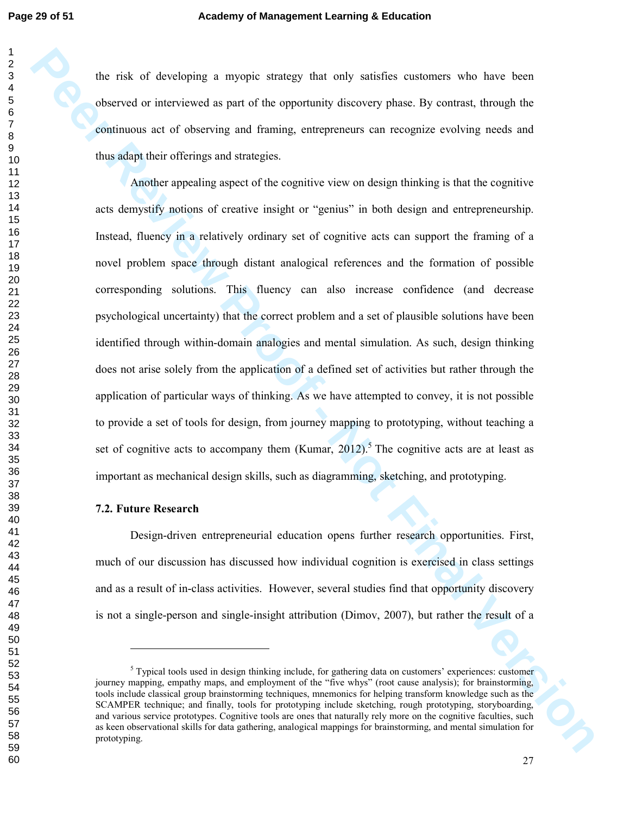the risk of developing a myopic strategy that only satisfies customers who have been observed or interviewed as part of the opportunity discovery phase. By contrast, through the continuous act of observing and framing, entrepreneurs can recognize evolving needs and thus adapt their offerings and strategies.

The role of developing is myopic strainey that only satisfies explorimes who have helion expected of interviewed as part of the opportunity discovery phase. By contrast, through the continuous arc of elevening and straingl Another appealing aspect of the cognitive view on design thinking is that the cognitive acts demystify notions of creative insight or "genius" in both design and entrepreneurship. Instead, fluency in a relatively ordinary set of cognitive acts can support the framing of a novel problem space through distant analogical references and the formation of possible corresponding solutions. This fluency can also increase confidence (and decrease psychological uncertainty) that the correct problem and a set of plausible solutions have been identified through within-domain analogies and mental simulation. As such, design thinking does not arise solely from the application of a defined set of activities but rather through the application of particular ways of thinking. As we have attempted to convey, it is not possible to provide a set of tools for design, from journey mapping to prototyping, without teaching a set of cognitive acts to accompany them (Kumar, ).<sup>5</sup> The cognitive acts are at least as important as mechanical design skills, such as diagramming, sketching, and prototyping.

#### **7.2. Future Research**

-

Design-driven entrepreneurial education opens further research opportunities. First, much of our discussion has discussed how individual cognition is exercised in class settings and as a result of in-class activities. However, several studies find that opportunity discovery is not a single-person and single-insight attribution (Dimov, 2007), but rather the result of a

<sup>&</sup>lt;sup>5</sup> Typical tools used in design thinking include, for gathering data on customers' experiences: customer journey mapping, empathy maps, and employment of the "five whys" (root cause analysis); for brainstorming, tools include classical group brainstorming techniques, mnemonics for helping transform knowledge such as the SCAMPER technique; and finally, tools for prototyping include sketching, rough prototyping, storyboarding, and various service prototypes. Cognitive tools are ones that naturally rely more on the cognitive faculties, such as keen observational skills for data gathering, analogical mappings for brainstorming, and mental simulation for prototyping.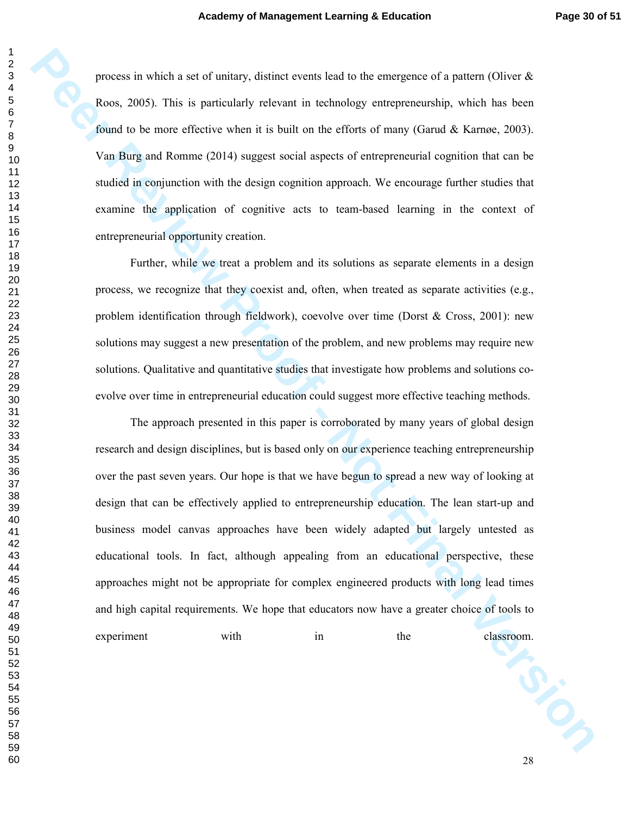process in which a set of unitary, distinct events lead to the emergence of a pattern (Oliver  $\&$ Roos, 2005). This is particularly relevant in technology entrepreneurship, which has been found to be more effective when it is built on the efforts of many (Garud & Karnøe, 2003). Van Burg and Romme (2014) suggest social aspects of entrepreneurial cognition that can be studied in conjunction with the design cognition approach. We encourage further studies that examine the application of cognitive acts to team-based learning in the context of entrepreneurial opportunity creation.

Further, while we treat a problem and its solutions as separate elements in a design process, we recognize that they coexist and, often, when treated as separate activities (e.g., problem identification through fieldwork), coevolve over time (Dorst & Cross, 2001): new solutions may suggest a new presentation of the problem, and new problems may require new solutions. Qualitative and quantitative studies that investigate how problems and solutions coevolve over time in entrepreneurial education could suggest more effective teaching methods.

presens in which a ast of tundary, desired essents lead to the amergence of a pattern (Oliveo & Roos, 2005). This is particularly velocion in toolhology entropresentably, which has been<br>Roos, 2005). This is particularly ve The approach presented in this paper is corroborated by many years of global design research and design disciplines, but is based only on our experience teaching entrepreneurship over the past seven years. Our hope is that we have begun to spread a new way of looking at design that can be effectively applied to entrepreneurship education. The lean start-up and business model canvas approaches have been widely adapted but largely untested as educational tools. In fact, although appealing from an educational perspective, these approaches might not be appropriate for complex engineered products with long lead times and high capital requirements. We hope that educators now have a greater choice of tools to experiment with in the classroom.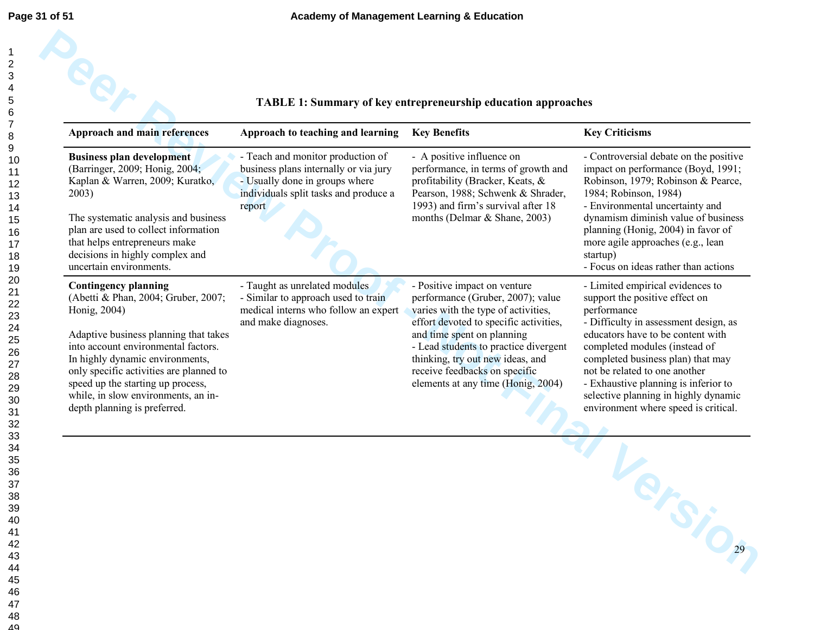| Approach and main references                                                                                                                                                                                                                                                                                                                                 | Approach to teaching and learning                                                                                                                               | <b>Key Benefits</b>                                                                                                                                                                                                                                                                                                                  | <b>Key Criticisms</b>                                                                                                                                                                                                                                                                                                                                                                          |
|--------------------------------------------------------------------------------------------------------------------------------------------------------------------------------------------------------------------------------------------------------------------------------------------------------------------------------------------------------------|-----------------------------------------------------------------------------------------------------------------------------------------------------------------|--------------------------------------------------------------------------------------------------------------------------------------------------------------------------------------------------------------------------------------------------------------------------------------------------------------------------------------|------------------------------------------------------------------------------------------------------------------------------------------------------------------------------------------------------------------------------------------------------------------------------------------------------------------------------------------------------------------------------------------------|
| <b>Business plan development</b><br>(Barringer, 2009; Honig, 2004;<br>Kaplan & Warren, 2009; Kuratko,<br>2003)<br>The systematic analysis and business<br>plan are used to collect information<br>that helps entrepreneurs make<br>decisions in highly complex and<br>uncertain environments.                                                                | - Teach and monitor production of<br>business plans internally or via jury<br>- Usually done in groups where<br>individuals split tasks and produce a<br>report | - A positive influence on<br>performance, in terms of growth and<br>profitability (Bracker, Keats, &<br>Pearson, 1988; Schwenk & Shrader,<br>1993) and firm's survival after 18<br>months (Delmar & Shane, 2003)                                                                                                                     | - Controversial debate on the positive<br>impact on performance (Boyd, 1991;<br>Robinson, 1979; Robinson & Pearce,<br>1984; Robinson, 1984)<br>- Environmental uncertainty and<br>dynamism diminish value of business<br>planning (Honig, 2004) in favor of<br>more agile approaches (e.g., lean<br>startup)<br>- Focus on ideas rather than actions                                           |
| <b>Contingency planning</b><br>(Abetti & Phan, 2004; Gruber, 2007;<br>Honig, 2004)<br>Adaptive business planning that takes<br>into account environmental factors.<br>In highly dynamic environments,<br>only specific activities are planned to<br>speed up the starting up process,<br>while, in slow environments, an in-<br>depth planning is preferred. | - Taught as unrelated modules<br>- Similar to approach used to train<br>medical interns who follow an expert<br>and make diagnoses.                             | - Positive impact on venture<br>performance (Gruber, 2007); value<br>varies with the type of activities,<br>effort devoted to specific activities,<br>and time spent on planning<br>- Lead students to practice divergent<br>thinking, try out new ideas, and<br>receive feedbacks on specific<br>elements at any time (Honig, 2004) | - Limited empirical evidences to<br>support the positive effect on<br>performance<br>- Difficulty in assessment design, as<br>educators have to be content with<br>completed modules (instead of<br>completed business plan) that may<br>not be related to one another<br>- Exhaustive planning is inferior to<br>selective planning in highly dynamic<br>environment where speed is critical. |
|                                                                                                                                                                                                                                                                                                                                                              |                                                                                                                                                                 |                                                                                                                                                                                                                                                                                                                                      |                                                                                                                                                                                                                                                                                                                                                                                                |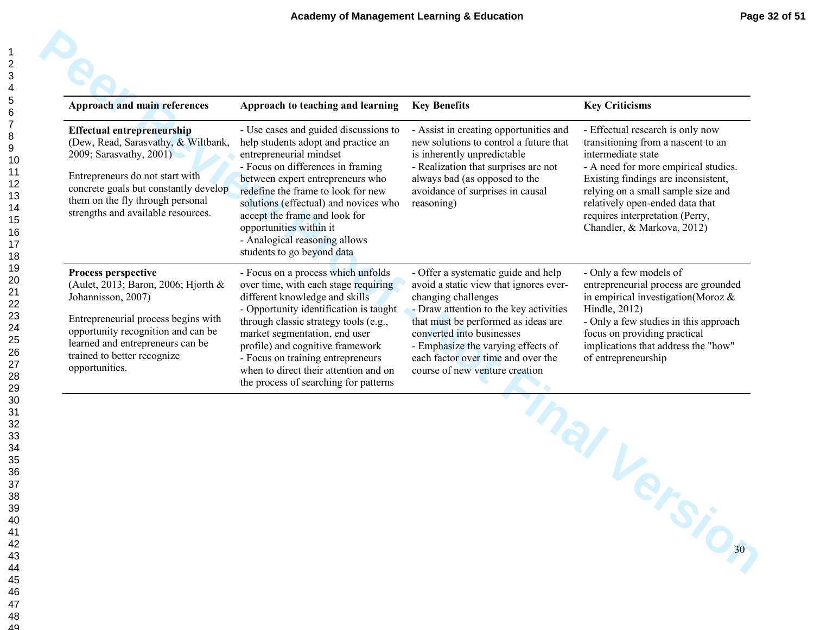| <b>Approach and main references</b>                                                                                                                                                                                                                       | Approach to teaching and learning                                                                                                                                                                                                                                                                                                                                                           | <b>Key Benefits</b>                                                                                                                                                                                                                                                                                                              | <b>Key Criticisms</b>                                                                                                                                                                                                                                                                                                 |
|-----------------------------------------------------------------------------------------------------------------------------------------------------------------------------------------------------------------------------------------------------------|---------------------------------------------------------------------------------------------------------------------------------------------------------------------------------------------------------------------------------------------------------------------------------------------------------------------------------------------------------------------------------------------|----------------------------------------------------------------------------------------------------------------------------------------------------------------------------------------------------------------------------------------------------------------------------------------------------------------------------------|-----------------------------------------------------------------------------------------------------------------------------------------------------------------------------------------------------------------------------------------------------------------------------------------------------------------------|
| <b>Effectual entrepreneurship</b><br>(Dew, Read, Sarasvathy, & Wiltbank,<br>2009; Sarasvathy, 2001)<br>Entrepreneurs do not start with<br>concrete goals but constantly develop<br>them on the fly through personal<br>strengths and available resources. | - Use cases and guided discussions to<br>help students adopt and practice an<br>entrepreneurial mindset<br>- Focus on differences in framing<br>between expert entrepreneurs who<br>redefine the frame to look for new<br>solutions (effectual) and novices who<br>accept the frame and look for<br>opportunities within it<br>- Analogical reasoning allows<br>students to go beyond data  | - Assist in creating opportunities and<br>new solutions to control a future that<br>is inherently unpredictable<br>- Realization that surprises are not<br>always bad (as opposed to the<br>avoidance of surprises in causal<br>reasoning)                                                                                       | - Effectual research is only now<br>transitioning from a nascent to an<br>intermediate state<br>- A need for more empirical studies.<br>Existing findings are inconsistent,<br>relying on a small sample size and<br>relatively open-ended data that<br>requires interpretation (Perry,<br>Chandler, & Markova, 2012) |
| Process perspective<br>(Aulet, 2013; Baron, 2006; Hjorth &<br>Johannisson, 2007)<br>Entrepreneurial process begins with<br>opportunity recognition and can be<br>learned and entrepreneurs can be<br>trained to better recognize<br>opportunities.        | - Focus on a process which unfolds<br>over time, with each stage requiring<br>different knowledge and skills<br>- Opportunity identification is taught<br>through classic strategy tools (e.g.,<br>market segmentation, end user<br>profile) and cognitive framework<br>- Focus on training entrepreneurs<br>when to direct their attention and on<br>the process of searching for patterns | - Offer a systematic guide and help<br>avoid a static view that ignores ever-<br>changing challenges<br>- Draw attention to the key activities<br>that must be performed as ideas are<br>converted into businesses<br>- Emphasize the varying effects of<br>each factor over time and over the<br>course of new venture creation | - Only a few models of<br>entrepreneurial process are grounded<br>in empirical investigation (Moroz $\&$<br>Hindle, 2012)<br>- Only a few studies in this approach<br>focus on providing practical<br>implications that address the "how"<br>of entrepreneurship                                                      |
|                                                                                                                                                                                                                                                           |                                                                                                                                                                                                                                                                                                                                                                                             | Than V                                                                                                                                                                                                                                                                                                                           | -FSIC30                                                                                                                                                                                                                                                                                                               |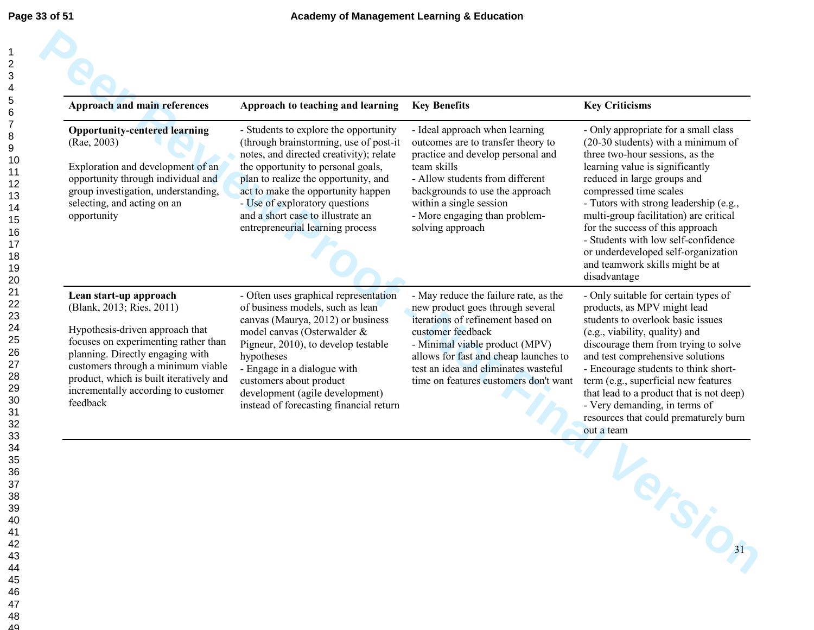| <b>Approach and main references</b>                                                                                                                                                                                                                                                                    | Approach to teaching and learning                                                                                                                                                                                                                                                                                                                         | <b>Key Benefits</b>                                                                                                                                                                                                                                                                             | <b>Key Criticisms</b>                                                                                                                                                                                                                                                                                                                                                                                                                                                |
|--------------------------------------------------------------------------------------------------------------------------------------------------------------------------------------------------------------------------------------------------------------------------------------------------------|-----------------------------------------------------------------------------------------------------------------------------------------------------------------------------------------------------------------------------------------------------------------------------------------------------------------------------------------------------------|-------------------------------------------------------------------------------------------------------------------------------------------------------------------------------------------------------------------------------------------------------------------------------------------------|----------------------------------------------------------------------------------------------------------------------------------------------------------------------------------------------------------------------------------------------------------------------------------------------------------------------------------------------------------------------------------------------------------------------------------------------------------------------|
| <b>Opportunity-centered learning</b><br>(Rae, 2003)<br>Exploration and development of an<br>opportunity through individual and<br>group investigation, understanding,<br>selecting, and acting on an<br>opportunity                                                                                    | - Students to explore the opportunity<br>(through brainstorming, use of post-it<br>notes, and directed creativity); relate<br>the opportunity to personal goals,<br>plan to realize the opportunity, and<br>act to make the opportunity happen<br>- Use of exploratory questions<br>and a short case to illustrate an<br>entrepreneurial learning process | - Ideal approach when learning<br>outcomes are to transfer theory to<br>practice and develop personal and<br>team skills<br>- Allow students from different<br>backgrounds to use the approach<br>within a single session<br>- More engaging than problem-<br>solving approach                  | - Only appropriate for a small class<br>$(20-30$ students) with a minimum of<br>three two-hour sessions, as the<br>learning value is significantly<br>reduced in large groups and<br>compressed time scales<br>- Tutors with strong leadership (e.g.,<br>multi-group facilitation) are critical<br>for the success of this approach<br>- Students with low self-confidence<br>or underdeveloped self-organization<br>and teamwork skills might be at<br>disadvantage |
| Lean start-up approach<br>(Blank, 2013; Ries, 2011)<br>Hypothesis-driven approach that<br>focuses on experimenting rather than<br>planning. Directly engaging with<br>customers through a minimum viable<br>product, which is built iteratively and<br>incrementally according to customer<br>feedback | - Often uses graphical representation<br>of business models, such as lean<br>canvas (Maurya, 2012) or business<br>model canvas (Osterwalder &<br>Pigneur, 2010), to develop testable<br>hypotheses<br>- Engage in a dialogue with<br>customers about product<br>development (agile development)<br>instead of forecasting financial return                | - May reduce the failure rate, as the<br>new product goes through several<br>iterations of refinement based on<br>customer feedback<br>- Minimal viable product (MPV)<br>allows for fast and cheap launches to<br>test an idea and eliminates wasteful<br>time on features customers don't want | - Only suitable for certain types of<br>products, as MPV might lead<br>students to overlook basic issues<br>(e.g., viability, quality) and<br>discourage them from trying to solve<br>and test comprehensive solutions<br>- Encourage students to think short-<br>term (e.g., superficial new features<br>that lead to a product that is not deep)<br>- Very demanding, in terms of<br>resources that could prematurely burn<br>out a team                           |
|                                                                                                                                                                                                                                                                                                        |                                                                                                                                                                                                                                                                                                                                                           |                                                                                                                                                                                                                                                                                                 |                                                                                                                                                                                                                                                                                                                                                                                                                                                                      |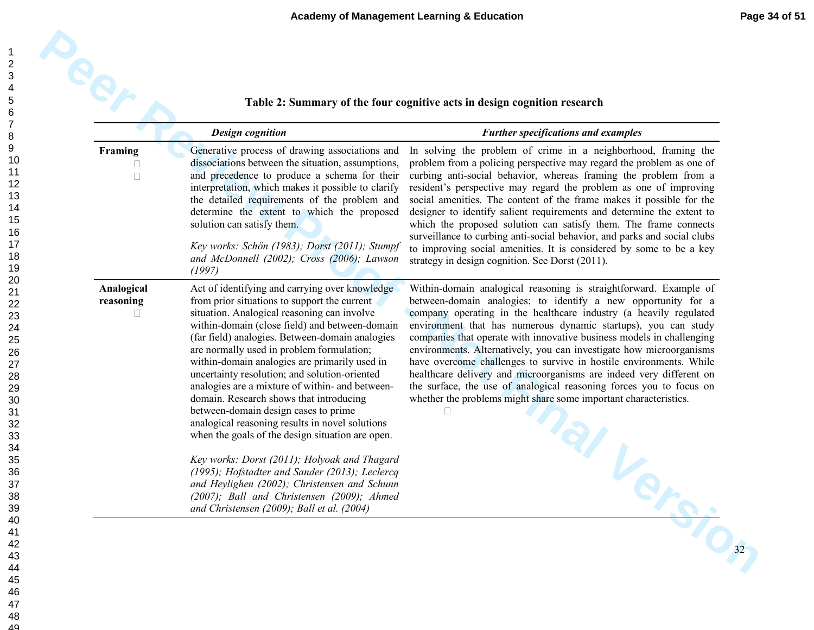|                         | <b>Design cognition</b>                                                                                                                                                                                                                                                                                                                                                                                                                                                                                                                                                                                                                        | <b>Further specifications and examples</b>                                                                                                                                                                                                                                                                                                                                                                                                                                                                                                                                                                                                                                                                        |
|-------------------------|------------------------------------------------------------------------------------------------------------------------------------------------------------------------------------------------------------------------------------------------------------------------------------------------------------------------------------------------------------------------------------------------------------------------------------------------------------------------------------------------------------------------------------------------------------------------------------------------------------------------------------------------|-------------------------------------------------------------------------------------------------------------------------------------------------------------------------------------------------------------------------------------------------------------------------------------------------------------------------------------------------------------------------------------------------------------------------------------------------------------------------------------------------------------------------------------------------------------------------------------------------------------------------------------------------------------------------------------------------------------------|
| Framing                 | Generative process of drawing associations and<br>dissociations between the situation, assumptions,<br>and precedence to produce a schema for their<br>interpretation, which makes it possible to clarify<br>the detailed requirements of the problem and<br>determine the extent to which the proposed<br>solution can satisfy them.<br>Key works: Schön (1983); Dorst (2011); Stumpf<br>and McDonnell (2002); Cross (2006); Lawson<br>(1997)                                                                                                                                                                                                 | In solving the problem of crime in a neighborhood, framing the<br>problem from a policing perspective may regard the problem as one of<br>curbing anti-social behavior, whereas framing the problem from a<br>resident's perspective may regard the problem as one of improving<br>social amenities. The content of the frame makes it possible for the<br>designer to identify salient requirements and determine the extent to<br>which the proposed solution can satisfy them. The frame connects<br>surveillance to curbing anti-social behavior, and parks and social clubs<br>to improving social amenities. It is considered by some to be a key<br>strategy in design cognition. See Dorst (2011).        |
| Analogical<br>reasoning | Act of identifying and carrying over knowledge<br>from prior situations to support the current<br>situation. Analogical reasoning can involve<br>within-domain (close field) and between-domain<br>(far field) analogies. Between-domain analogies<br>are normally used in problem formulation;<br>within-domain analogies are primarily used in<br>uncertainty resolution; and solution-oriented<br>analogies are a mixture of within- and between-<br>domain. Research shows that introducing<br>between-domain design cases to prime<br>analogical reasoning results in novel solutions<br>when the goals of the design situation are open. | Within-domain analogical reasoning is straightforward. Example of<br>between-domain analogies: to identify a new opportunity for a<br>company operating in the healthcare industry (a heavily regulated<br>environment that has numerous dynamic startups), you can study<br>companies that operate with innovative business models in challenging<br>environments. Alternatively, you can investigate how microorganisms<br>have overcome challenges to survive in hostile environments. While<br>healthcare delivery and microorganisms are indeed very different on<br>the surface, the use of analogical reasoning forces you to focus on<br>whether the problems might share some important characteristics. |
|                         | Key works: Dorst (2011); Holyoak and Thagard<br>(1995); Hofstadter and Sander (2013); Leclercq<br>and Heylighen (2002); Christensen and Schunn<br>(2007); Ball and Christensen (2009); Ahmed<br>and Christensen (2009); Ball et al. (2004)                                                                                                                                                                                                                                                                                                                                                                                                     |                                                                                                                                                                                                                                                                                                                                                                                                                                                                                                                                                                                                                                                                                                                   |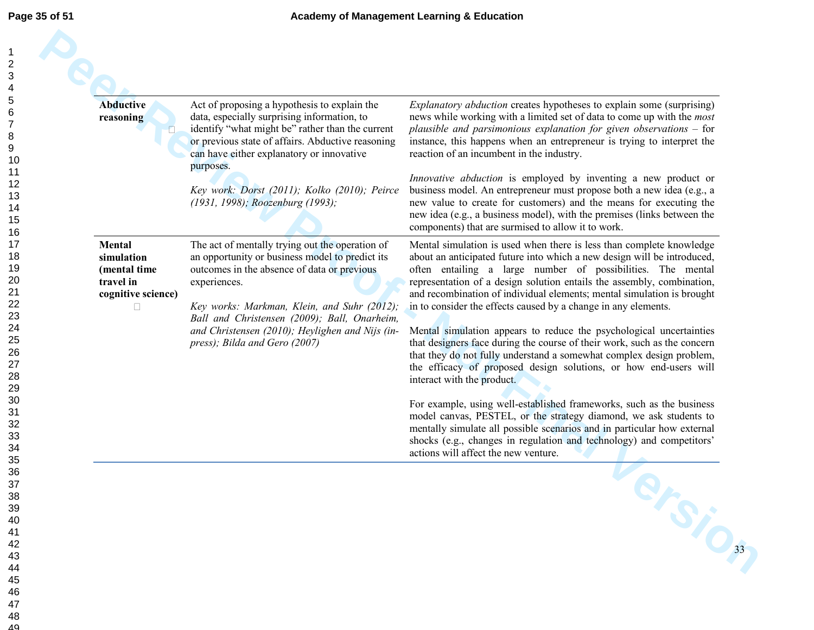| Page 35 of 51                                                              |                                                           |
|----------------------------------------------------------------------------|-----------------------------------------------------------|
| 1<br>234567<br>8<br>9<br>10<br>11<br>12                                    | <b>Abduct</b><br>reasoni                                  |
| 13<br>14<br>15<br>16<br>17<br>18<br>19<br>20<br>21<br>22<br>23<br>24<br>25 | <b>Mental</b><br>simulat<br>(menta<br>travel i<br>cogniti |
| 26<br>27<br>28<br>29<br>30<br>31<br>32<br>33<br>34<br>35<br>36             |                                                           |
| 37<br>38<br>39<br>40<br>41<br>42<br>43<br>44<br>45<br>46<br>47<br>48<br>49 |                                                           |

| <b>Abductive</b><br>reasoning                                                  | Act of proposing a hypothesis to explain the<br>data, especially surprising information, to<br>identify "what might be" rather than the current<br>or previous state of affairs. Abductive reasoning<br>can have either explanatory or innovative                                                                                                    | <i>Explanatory abduction</i> creates hypotheses to explain some (surprising)<br>news while working with a limited set of data to come up with the <i>most</i><br>plausible and parsimonious explanation for given observations $-$ for<br>instance, this happens when an entrepreneur is trying to interpret the<br>reaction of an incumbent in the industry.                                                                                                                                                                                                                                                                                                                                                                                                     |
|--------------------------------------------------------------------------------|------------------------------------------------------------------------------------------------------------------------------------------------------------------------------------------------------------------------------------------------------------------------------------------------------------------------------------------------------|-------------------------------------------------------------------------------------------------------------------------------------------------------------------------------------------------------------------------------------------------------------------------------------------------------------------------------------------------------------------------------------------------------------------------------------------------------------------------------------------------------------------------------------------------------------------------------------------------------------------------------------------------------------------------------------------------------------------------------------------------------------------|
|                                                                                | purposes.<br>Key work: Dorst (2011); Kolko (2010); Peirce<br>(1931, 1998); Roozenburg (1993);                                                                                                                                                                                                                                                        | Innovative abduction is employed by inventing a new product or<br>business model. An entrepreneur must propose both a new idea (e.g., a<br>new value to create for customers) and the means for executing the<br>new idea (e.g., a business model), with the premises (links between the<br>components) that are surmised to allow it to work.                                                                                                                                                                                                                                                                                                                                                                                                                    |
| <b>Mental</b><br>simulation<br>(mental time<br>travel in<br>cognitive science) | The act of mentally trying out the operation of<br>an opportunity or business model to predict its<br>outcomes in the absence of data or previous<br>experiences.<br>Key works: Markman, Klein, and Suhr (2012);<br>Ball and Christensen (2009); Ball, Onarheim,<br>and Christensen (2010); Heylighen and Nijs (in-<br>press); Bilda and Gero (2007) | Mental simulation is used when there is less than complete knowledge<br>about an anticipated future into which a new design will be introduced,<br>often entailing a large number of possibilities. The mental<br>representation of a design solution entails the assembly, combination,<br>and recombination of individual elements; mental simulation is brought<br>in to consider the effects caused by a change in any elements.<br>Mental simulation appears to reduce the psychological uncertainties<br>that designers face during the course of their work, such as the concern<br>that they do not fully understand a somewhat complex design problem,<br>the efficacy of proposed design solutions, or how end-users will<br>interact with the product. |
|                                                                                |                                                                                                                                                                                                                                                                                                                                                      | For example, using well-established frameworks, such as the business<br>model canvas, PESTEL, or the strategy diamond, we ask students to<br>mentally simulate all possible scenarios and in particular how external<br>shocks (e.g., changes in regulation and technology) and competitors'<br>actions will affect the new venture.                                                                                                                                                                                                                                                                                                                                                                                                                              |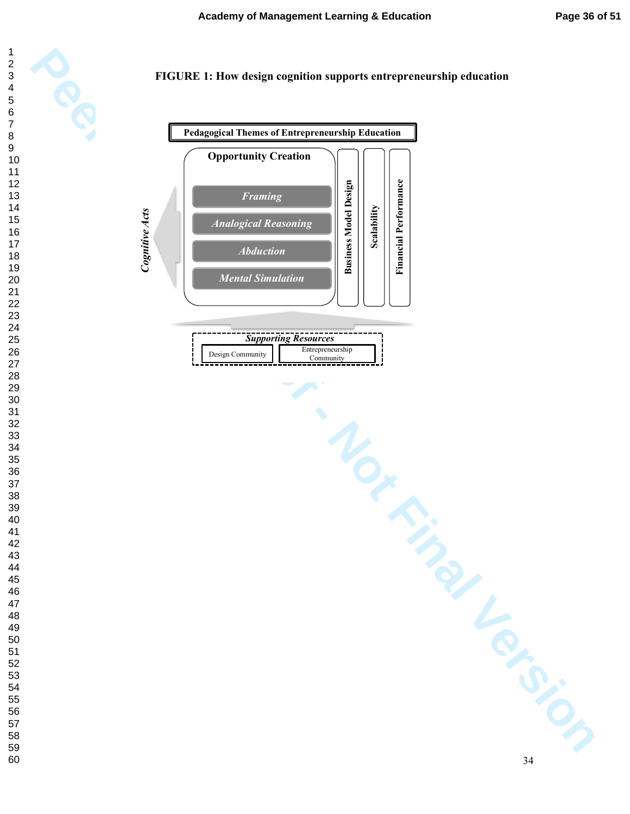

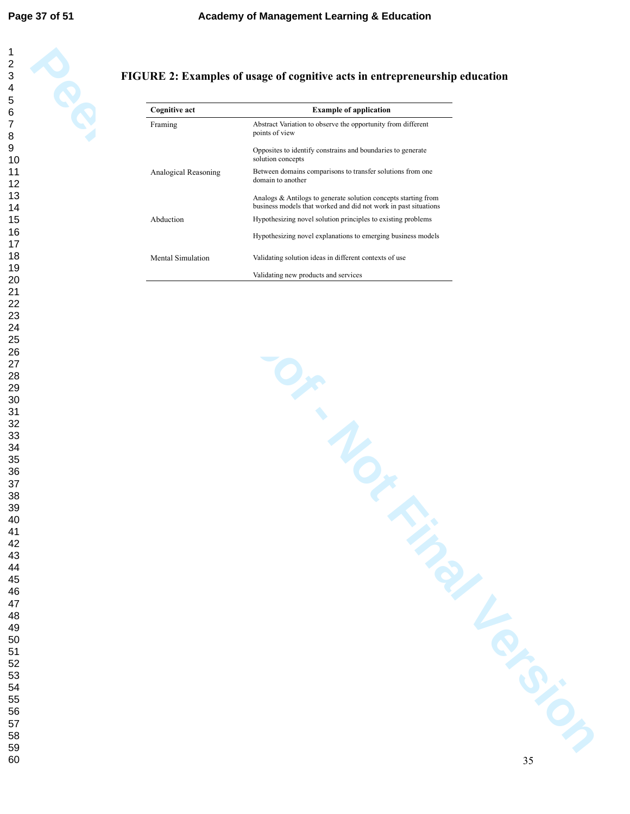#### 

 

### **FIGURE 2: Examples of usage of cognitive acts in entrepreneurship education**

| Abstract Variation to observe the opportunity from different<br>Framing<br>points of view<br>Opposites to identify constrains and boundaries to generate<br>solution concepts<br>Analogical Reasoning<br>Between domains comparisons to transfer solutions from one<br>domain to another<br>Analogs & Antilogs to generate solution concepts starting from<br>business models that worked and did not work in past situations<br>Hypothesizing novel solution principles to existing problems<br>Abduction<br>Hypothesizing novel explanations to emerging business models<br>Mental Simulation<br>Validating solution ideas in different contexts of use<br>Validating new products and services<br>Or More<br>TIME TONIC | <b>Cognitive act</b> | <b>Example of application</b> |
|----------------------------------------------------------------------------------------------------------------------------------------------------------------------------------------------------------------------------------------------------------------------------------------------------------------------------------------------------------------------------------------------------------------------------------------------------------------------------------------------------------------------------------------------------------------------------------------------------------------------------------------------------------------------------------------------------------------------------|----------------------|-------------------------------|
|                                                                                                                                                                                                                                                                                                                                                                                                                                                                                                                                                                                                                                                                                                                            |                      |                               |
|                                                                                                                                                                                                                                                                                                                                                                                                                                                                                                                                                                                                                                                                                                                            |                      |                               |
|                                                                                                                                                                                                                                                                                                                                                                                                                                                                                                                                                                                                                                                                                                                            |                      |                               |
|                                                                                                                                                                                                                                                                                                                                                                                                                                                                                                                                                                                                                                                                                                                            |                      |                               |
|                                                                                                                                                                                                                                                                                                                                                                                                                                                                                                                                                                                                                                                                                                                            |                      |                               |
|                                                                                                                                                                                                                                                                                                                                                                                                                                                                                                                                                                                                                                                                                                                            |                      |                               |
|                                                                                                                                                                                                                                                                                                                                                                                                                                                                                                                                                                                                                                                                                                                            |                      |                               |
|                                                                                                                                                                                                                                                                                                                                                                                                                                                                                                                                                                                                                                                                                                                            |                      |                               |
|                                                                                                                                                                                                                                                                                                                                                                                                                                                                                                                                                                                                                                                                                                                            |                      |                               |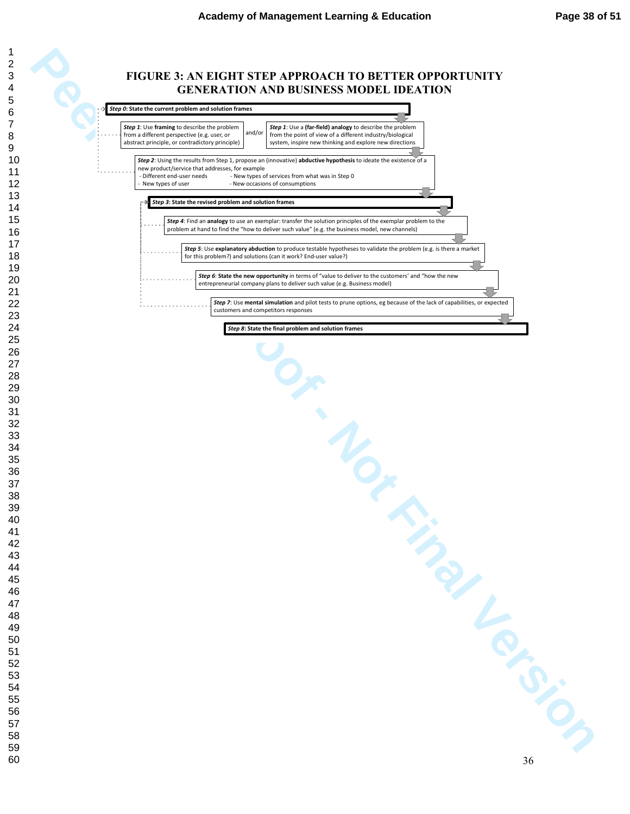#### **FIGURE 3: AN EIGHT STEP APPROACH TO BETTER OPPORTUNITY GENERATION AND BUSINESS MODEL IDEATION**

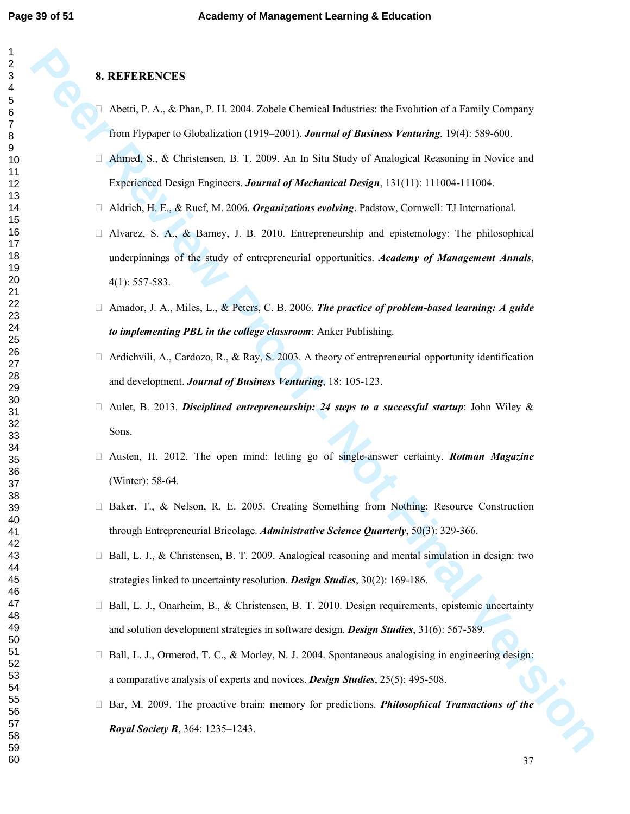#### **8. REFERENCES**

**PERENNICES**<br> **PEER REVIEW**<br> **PEER ALA ACTION**, 11-2004, Zobete Chemical Industries, the Evociation of a Family Company<br> *Pearl* Pepper to Glebal Varions (1919-2001). *Issues of Analogical Sectionial* in Notice and<br> **Alan**  Abetti, P. A., & Phan, P. H. 2004. Zobele Chemical Industries: the Evolution of a Family Company from Flypaper to Globalization (1919–2001). *Journal of Business Venturing*, 19(4): 589-600. Ahmed, S., & Christensen, B. T. 2009. An In Situ Study of Analogical Reasoning in Novice and Experienced Design Engineers. *Journal of Mechanical Design*, 131(11): 111004-111004. Aldrich, H. E., & Ruef, M. 2006. *Organizations evolving*. Padstow, Cornwell: TJ International. Alvarez, S. A., & Barney, J. B. 2010. Entrepreneurship and epistemology: The philosophical underpinnings of the study of entrepreneurial opportunities. *Academy of Management Annals*, 4(1): 557-583.

 Amador, J. A., Miles, L., & Peters, C. B. 2006. *The practice of problem-based learning: A guide to implementing PBL in the college classroom*: Anker Publishing.

 Ardichvili, A., Cardozo, R., & Ray, S. 2003. A theory of entrepreneurial opportunity identification and development. *Journal of Business Venturing*, 18: 105-123.

 Aulet, B. 2013. *Disciplined entrepreneurship: 24 steps to a successful startup*: John Wiley & Sons.

 Austen, H. 2012. The open mind: letting go of single-answer certainty. *Rotman Magazine*  (Winter): 58-64.

 Baker, T., & Nelson, R. E. 2005. Creating Something from Nothing: Resource Construction through Entrepreneurial Bricolage. *Administrative Science Quarterly*, 50(3): 329-366.

 Ball, L. J., & Christensen, B. T. 2009. Analogical reasoning and mental simulation in design: two strategies linked to uncertainty resolution. *Design Studies*, 30(2): 169-186.

 Ball, L. J., Onarheim, B., & Christensen, B. T. 2010. Design requirements, epistemic uncertainty and solution development strategies in software design. *Design Studies*, 31(6): 567-589.

 Ball, L. J., Ormerod, T. C., & Morley, N. J. 2004. Spontaneous analogising in engineering design: a comparative analysis of experts and novices. *Design Studies*, 25(5): 495-508.

 Bar, M. 2009. The proactive brain: memory for predictions. *Philosophical Transactions of the Royal Society B*, 364: 1235–1243.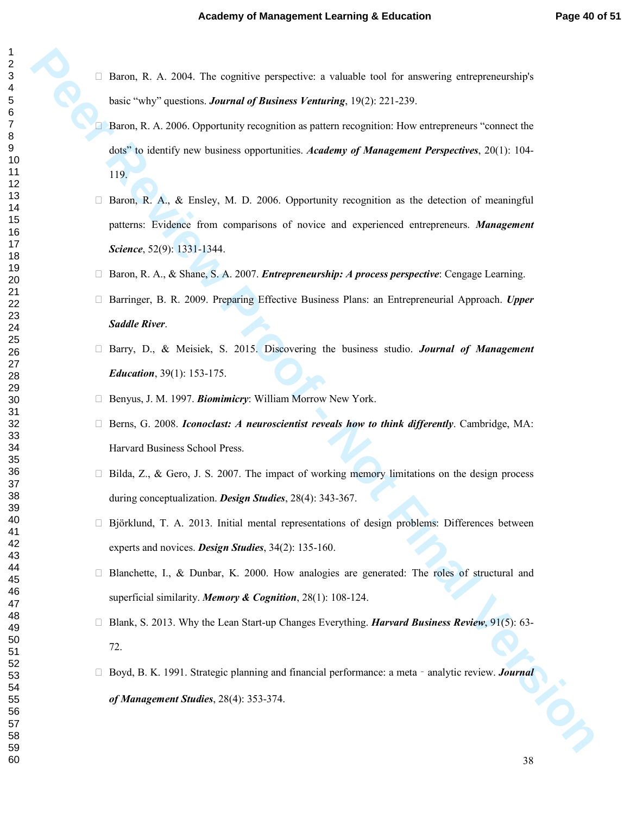Baron, R. A. 2004. The cognitive perspective: a valuable tool for answering entrepreneurship's basic "why" questions. *Journal of Business Venturing*, 19(2): 221-239.

 Baron, R. A. 2006. Opportunity recognition as pattern recognition: How entrepreneurs "connect the dots" to identify new business opportunities. *Academy of Management Perspectives*, 20(1): 104- 119.

**Beron, R. A.** 2004. This explainte partitive to valinable tool for answering entroperations have welly "quantum *Lamand of Theriness Formanda,* 1952: 221-239.<br> **Perron, R. A. 2006. Opportunity receptions for a particular**  Baron, R. A., & Ensley, M. D. 2006. Opportunity recognition as the detection of meaningful patterns: Evidence from comparisons of novice and experienced entrepreneurs. *Management Science*, 52(9): 1331-1344.

 Baron, R. A., & Shane, S. A. 2007. *Entrepreneurship: A process perspective*: Cengage Learning. Barringer, B. R. 2009. Preparing Effective Business Plans: an Entrepreneurial Approach. *Upper* 

*Saddle River*.

 Barry, D., & Meisiek, S. 2015. Discovering the business studio. *Journal of Management Education*, 39(1): 153-175.

Benyus, J. M. 1997. *Biomimicry*: William Morrow New York.

 Berns, G. 2008. *Iconoclast: A neuroscientist reveals how to think differently*. Cambridge, MA: Harvard Business School Press.

 Bilda, Z., & Gero, J. S. 2007. The impact of working memory limitations on the design process during conceptualization. *Design Studies*, 28(4): 343-367.

 Björklund, T. A. 2013. Initial mental representations of design problems: Differences between experts and novices. *Design Studies*, 34(2): 135-160.

 Blanchette, I., & Dunbar, K. 2000. How analogies are generated: The roles of structural and superficial similarity. *Memory & Cognition*, 28(1): 108-124.

 Blank, S. 2013. Why the Lean Start-up Changes Everything. *Harvard Business Review*, 91(5): 63- 72.

Boyd, B. K. 1991. Strategic planning and financial performance: a meta - analytic review. *Journal of Management Studies*, 28(4): 353-374.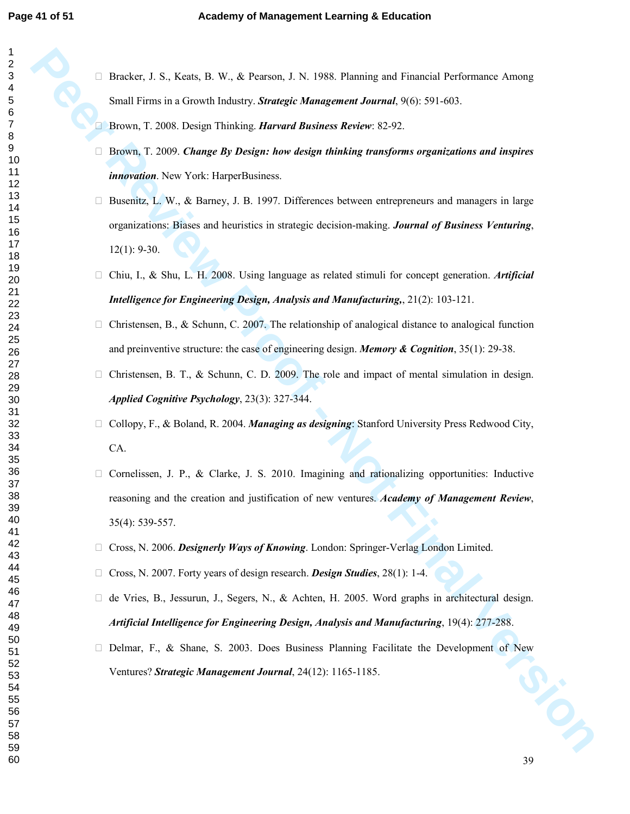| 40                   |
|----------------------|
|                      |
| 41                   |
| 42                   |
| 43                   |
| 44                   |
| 45                   |
|                      |
| 46                   |
| 47                   |
| 48                   |
|                      |
| 49                   |
| 50                   |
| 5<br>1               |
| 5,<br>$\overline{ }$ |
| 5:<br>3              |
|                      |
| 54                   |
| -<br>55              |
| 56                   |
| 57                   |
|                      |
| 58                   |
| 59<br>3              |

 Bracker, J. S., Keats, B. W., & Pearson, J. N. 1988. Planning and Financial Performance Among Small Firms in a Growth Industry. *Strategic Management Journal*, 9(6): 591-603.

Brown, T. 2008. Design Thinking. *Harvard Business Review*: 82-92.

 Brown, T. 2009. *Change By Design: how design thinking transforms organizations and inspires innovation*. New York: HarperBusiness.

**Petroc**, J. S., Kore, B. W., & Petron, J. N. 1988. Pluming and Financial Performance Ameng<br>
Small Firms in a Growth Foldery. Stanget Management Juantati,  $\theta$ (65-89). 605.<br> **Person, T. 2008.** Disting Thereing, *Harvard Bu*  Busenitz, L. W., & Barney, J. B. 1997. Differences between entrepreneurs and managers in large organizations: Biases and heuristics in strategic decision-making. *Journal of Business Venturing*, 12(1): 9-30.

 Chiu, I., & Shu, L. H. 2008. Using language as related stimuli for concept generation. *Artificial Intelligence for Engineering Design, Analysis and Manufacturing,*, 21(2): 103-121.

 Christensen, B., & Schunn, C. 2007. The relationship of analogical distance to analogical function and preinventive structure: the case of engineering design. *Memory & Cognition*, 35(1): 29-38.

 Christensen, B. T., & Schunn, C. D. 2009. The role and impact of mental simulation in design. *Applied Cognitive Psychology*, 23(3): 327-344.

 Collopy, F., & Boland, R. 2004. *Managing as designing*: Stanford University Press Redwood City, CA.

 Cornelissen, J. P., & Clarke, J. S. 2010. Imagining and rationalizing opportunities: Inductive reasoning and the creation and justification of new ventures. *Academy of Management Review*, 35(4): 539-557.

Cross, N. 2006. *Designerly Ways of Knowing*. London: Springer-Verlag London Limited.

Cross, N. 2007. Forty years of design research. *Design Studies*, 28(1): 1-4.

de Vries, B., Jessurun, J., Segers, N., & Achten, H. 2005. Word graphs in architectural design.

*Artificial Intelligence for Engineering Design, Analysis and Manufacturing*, 19(4): 277-288.

 Delmar, F., & Shane, S. 2003. Does Business Planning Facilitate the Development of New Ventures? *Strategic Management Journal*, 24(12): 1165-1185.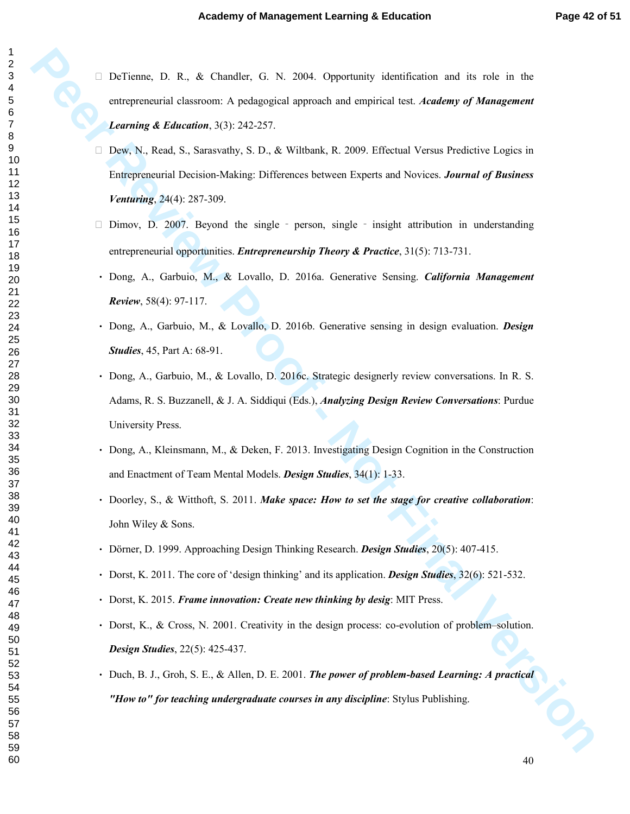DeTienne, D. R., & Chandler, G. N. 2004. Opportunity identification and its role in the entrepreneurial classroom: A pedagogical approach and empirical test. *Academy of Management Learning & Education*, 3(3): 242-257.

 Dew, N., Read, S., Sarasvathy, S. D., & Wiltbank, R. 2009. Effectual Versus Predictive Logics in Entrepreneurial Decision-Making: Differences between Experts and Novices. *Journal of Business Venturing*, 24(4): 287-309.

Dimov, D. 2007. Beyond the single – person, single – insight attribution in understanding entrepreneurial opportunities. *Entrepreneurship Theory & Practice*, 31(5): 713-731.

- Dong, A., Garbuio, M., & Lovallo, D. 2016a. Generative Sensing. *California Management Review*, 58(4): 97-117.
- Dong, A., Garbuio, M., & Lovallo, D. 2016b. Generative sensing in design evaluation. *Design Studies*, 45, Part A: 68-91.
- **Perfections, D. R. & Chandler, O. S. 2004.** Opportunity deconfidenties ond its role in the entropy<br>neutron and also converse A performance and entropies and entropy of Management<br>Learning & Education, 3(3), 212-2373.<br>Ther Dong, A., Garbuio, M., & Lovallo, D. 2016c. Strategic designerly review conversations. In R. S. Adams, R. S. Buzzanell, & J. A. Siddiqui (Eds.), *Analyzing Design Review Conversations*: Purdue University Press.
	- Dong, A., Kleinsmann, M., & Deken, F. 2013. Investigating Design Cognition in the Construction and Enactment of Team Mental Models. *Design Studies*, 34(1): 1-33.
	- Doorley, S., & Witthoft, S. 2011. *Make space: How to set the stage for creative collaboration*: John Wiley & Sons.
	- Dörner, D. 1999. Approaching Design Thinking Research. *Design Studies*, 20(5): 407-415.
	- Dorst, K. 2011. The core of 'design thinking' and its application. *Design Studies*, 32(6): 521-532.
	- Dorst, K. 2015. *Frame innovation: Create new thinking by desig*: MIT Press.
	- Dorst, K., & Cross, N. 2001. Creativity in the design process: co-evolution of problem–solution. *Design Studies*, 22(5): 425-437.
	- Duch, B. J., Groh, S. E., & Allen, D. E. 2001. *The power of problem-based Learning: A practical "How to" for teaching undergraduate courses in any discipline*: Stylus Publishing.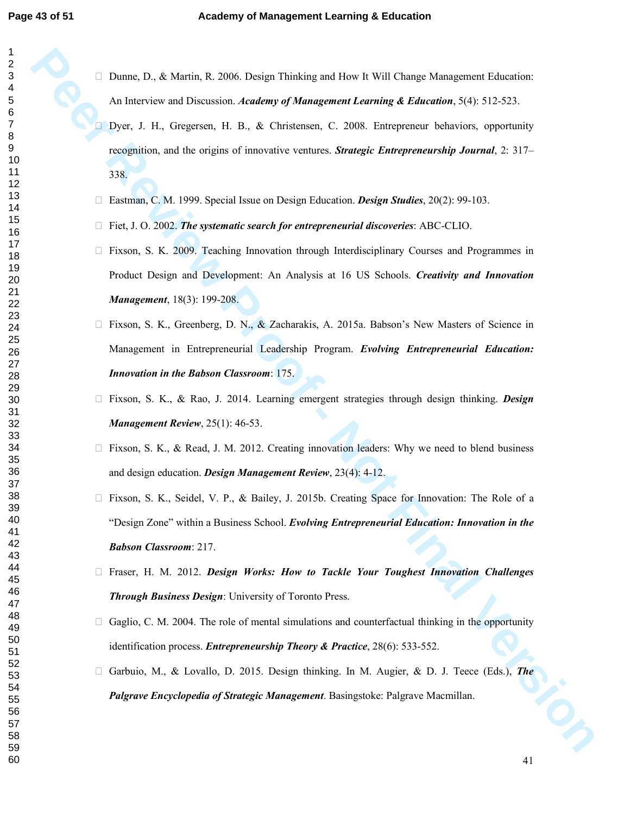Dunne, D., & Martin, R. 2006. Design Thinking and How It Will Change Management Education: An Interview and Discussion. *Academy of Management Learning & Education*, 5(4): 512-523.

Drame, D., & Morto, R. 2006. Distign Thicking and How EWII Chonge Management Edecritics:<br>An Interview and Divension. *Academy of Management Learning & Edecation*, applying Dept. J. H., Gregoren, B. B., & Coincester, c., 20 Dyer, J. H., Gregersen, H. B., & Christensen, C. 2008. Entrepreneur behaviors, opportunity recognition, and the origins of innovative ventures. *Strategic Entrepreneurship Journal*, 2: 317– 338.

Eastman, C. M. 1999. Special Issue on Design Education. *Design Studies*, 20(2): 99-103.

Fiet, J. O. 2002. *The systematic search for entrepreneurial discoveries*: ABC-CLIO.

 Fixson, S. K. 2009. Teaching Innovation through Interdisciplinary Courses and Programmes in Product Design and Development: An Analysis at 16 US Schools. *Creativity and Innovation Management*, 18(3): 199-208.

 Fixson, S. K., Greenberg, D. N., & Zacharakis, A. 2015a. Babson's New Masters of Science in Management in Entrepreneurial Leadership Program. *Evolving Entrepreneurial Education: Innovation in the Babson Classroom*: 175.

 Fixson, S. K., & Rao, J. 2014. Learning emergent strategies through design thinking. *Design Management Review*, 25(1): 46-53.

Fixson, S. K., & Read, J. M. 2012. Creating innovation leaders: Why we need to blend business and design education. *Design Management Review*, 23(4): 4-12.

 Fixson, S. K., Seidel, V. P., & Bailey, J. 2015b. Creating Space for Innovation: The Role of a "Design Zone" within a Business School. *Evolving Entrepreneurial Education: Innovation in the Babson Classroom*: 217.

 Fraser, H. M. 2012. *Design Works: How to Tackle Your Toughest Innovation Challenges Through Business Design*: University of Toronto Press.

 Gaglio, C. M. 2004. The role of mental simulations and counterfactual thinking in the opportunity identification process. *Entrepreneurship Theory & Practice*, 28(6): 533-552.

 Garbuio, M., & Lovallo, D. 2015. Design thinking. In M. Augier, & D. J. Teece (Eds.), *The Palgrave Encyclopedia of Strategic Management*. Basingstoke: Palgrave Macmillan.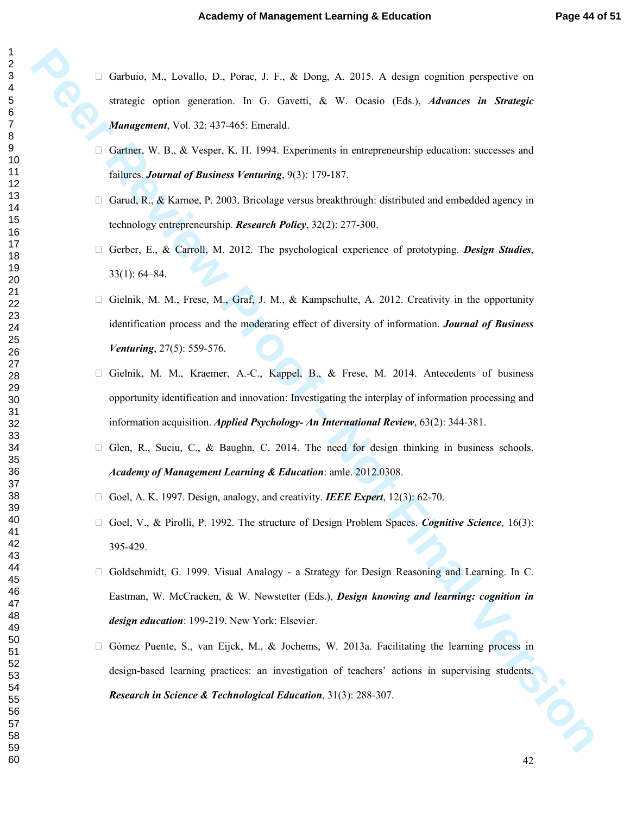Garbaia, M., Lovalia, D., Porte, J. F., & Deep, A. 2015. A design cognition perspective correspic repiters per entirely in the C. Garanti, A. W. Ocasio. (Tak.). Advances in Strangile Management, Vol. 22. 437-465. Excessib Garbuio, M., Lovallo, D., Porac, J. F., & Dong, A. 2015. A design cognition perspective on strategic option generation. In G. Gavetti, & W. Ocasio (Eds.), *Advances in Strategic Management*, Vol. 32: 437-465: Emerald.

 Gartner, W. B., & Vesper, K. H. 1994. Experiments in entrepreneurship education: successes and failures. *Journal of Business Venturing*, 9(3): 179-187.

 Garud, R., & Karnøe, P. 2003. Bricolage versus breakthrough: distributed and embedded agency in technology entrepreneurship. *Research Policy*, 32(2): 277-300.

 Gerber, E., & Carroll, M. 2012. The psychological experience of prototyping. *Design Studies*, 33(1): 64–84.

 Gielnik, M. M., Frese, M., Graf, J. M., & Kampschulte, A. 2012. Creativity in the opportunity identification process and the moderating effect of diversity of information. *Journal of Business Venturing*, 27(5): 559-576.

 Gielnik, M. M., Kraemer, A.-C., Kappel, B., & Frese, M. 2014. Antecedents of business opportunity identification and innovation: Investigating the interplay of information processing and information acquisition. *Applied Psychology- An International Review*, 63(2): 344-381.

 Glen, R., Suciu, C., & Baughn, C. 2014. The need for design thinking in business schools. *Academy of Management Learning & Education*: amle. 2012.0308.

Goel, A. K. 1997. Design, analogy, and creativity. *IEEE Expert*, 12(3): 62-70.

 Goel, V., & Pirolli, P. 1992. The structure of Design Problem Spaces. *Cognitive Science*, 16(3): 395-429.

 Goldschmidt, G. 1999. Visual Analogy - a Strategy for Design Reasoning and Learning. In C. Eastman, W. McCracken, & W. Newstetter (Eds.), *Design knowing and learning: cognition in design education*: 199-219. New York: Elsevier.

 Gómez Puente, S., van Eijck, M., & Jochems, W. 2013a. Facilitating the learning process in design-based learning practices: an investigation of teachers' actions in supervising students. *Research in Science & Technological Education*, 31(3): 288-307.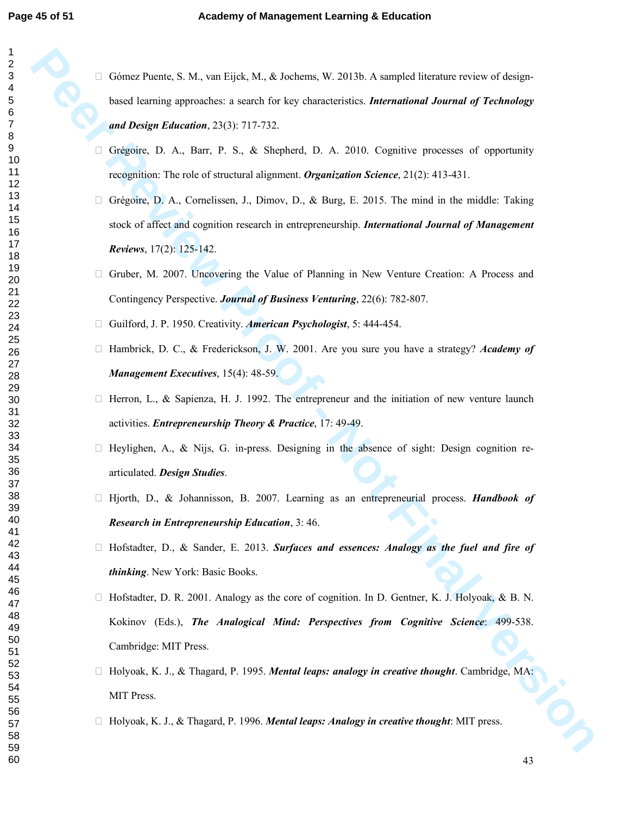| 1                   |
|---------------------|
| $\overline{c}$      |
|                     |
|                     |
|                     |
|                     |
|                     |
|                     |
|                     |
|                     |
|                     |
|                     |
|                     |
|                     |
|                     |
|                     |
|                     |
|                     |
|                     |
|                     |
|                     |
|                     |
|                     |
|                     |
|                     |
|                     |
|                     |
|                     |
|                     |
|                     |
|                     |
|                     |
|                     |
|                     |
|                     |
|                     |
|                     |
|                     |
|                     |
|                     |
|                     |
|                     |
|                     |
|                     |
|                     |
|                     |
| 40                  |
| 1                   |
| $\ddot{4}$          |
| $\overline{4}$      |
| $4^{\circ}$<br>Š    |
| 44                  |
| 45                  |
| 46                  |
|                     |
| 47                  |
| 48                  |
| 49                  |
| 50                  |
| 5 <sup>′</sup><br>1 |
| 52                  |
| $\overline{ }$      |
| 5.<br>3             |
| 54                  |
| 55                  |
| 56<br>ć             |
| 57                  |
|                     |
| 58                  |
| 59                  |
| 60                  |

 Gómez Puente, S. M., van Eijck, M., & Jochems, W. 2013b. A sampled literature review of designbased learning approaches: a search for key characteristics. *International Journal of Technology and Design Education*, 23(3): 717-732.

 Grégoire, D. A., Barr, P. S., & Shepherd, D. A. 2010. Cognitive processes of opportunity recognition: The role of structural alignment. *Organization Science*, 21(2): 413-431.

Géonez Provinc<sub>3</sub>. M., von Eisel, M., & Joshann, W. 2013). A sincoled licenture review of design-<br>
Front Forming approaches: a surve for key characteristics *International Journal of Technology*<br>
and Design Education, 201 Grégoire, D. A., Cornelissen, J., Dimov, D., & Burg, E. 2015. The mind in the middle: Taking stock of affect and cognition research in entrepreneurship. *International Journal of Management Reviews*, 17(2): 125-142.

 Gruber, M. 2007. Uncovering the Value of Planning in New Venture Creation: A Process and Contingency Perspective. *Journal of Business Venturing*, 22(6): 782-807.

Guilford, J. P. 1950. Creativity. *American Psychologist*, 5: 444-454.

 Hambrick, D. C., & Frederickson, J. W. 2001. Are you sure you have a strategy? *Academy of Management Executives*, 15(4): 48-59.

 Herron, L., & Sapienza, H. J. 1992. The entrepreneur and the initiation of new venture launch activities. *Entrepreneurship Theory & Practice*, 17: 49-49.

 Heylighen, A., & Nijs, G. in-press. Designing in the absence of sight: Design cognition rearticulated. *Design Studies*.

 Hjorth, D., & Johannisson, B. 2007. Learning as an entrepreneurial process. *Handbook of Research in Entrepreneurship Education*, 3: 46.

 Hofstadter, D., & Sander, E. 2013. *Surfaces and essences: Analogy as the fuel and fire of thinking*. New York: Basic Books.

 Hofstadter, D. R. 2001. Analogy as the core of cognition. In D. Gentner, K. J. Holyoak, & B. N. Kokinov (Eds.), *The Analogical Mind: Perspectives from Cognitive Science*: 499-538. Cambridge: MIT Press.

 Holyoak, K. J., & Thagard, P. 1995. *Mental leaps: analogy in creative thought*. Cambridge, MA: MIT Press.

Holyoak, K. J., & Thagard, P. 1996. *Mental leaps: Analogy in creative thought*: MIT press.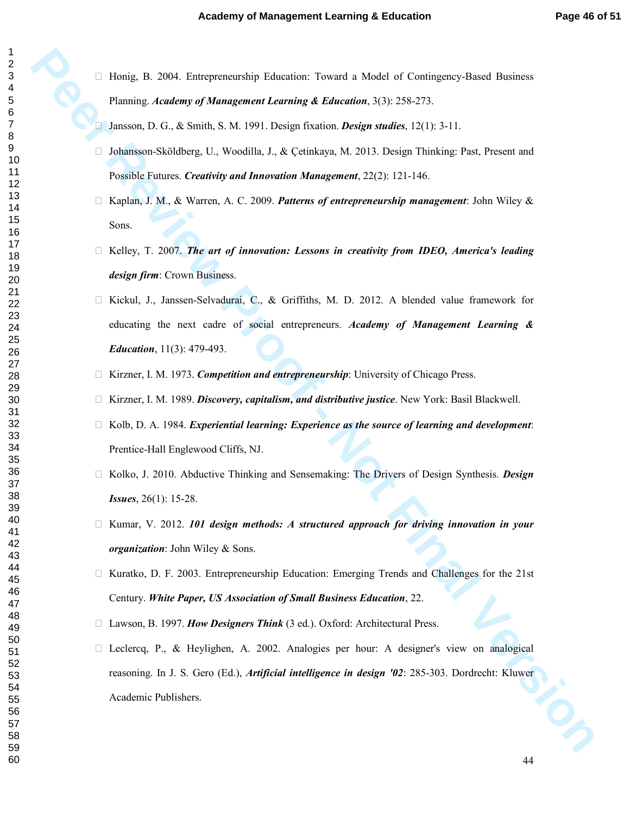Honig, B. 2004. Entrepreneurship Education: Toward a Model of Contingency-Based Business Planning. *Academy of Management Learning & Education*, 3(3): 258-273.

Jansson, D. G., & Smith, S. M. 1991. Design fixation. *Design studies*, 12(1): 3-11.

 Johansson-Sköldberg, U., Woodilla, J., & Çetinkaya, M. 2013. Design Thinking: Past, Present and Possible Futures. *Creativity and Innovation Management*, 22(2): 121-146.

 Kaplan, J. M., & Warren, A. C. 2009. *Patterns of entrepreneurship management*: John Wiley & Sons.

 Kelley, T. 2007. *The art of innovation: Lessons in creativity from IDEO, America's leading design firm*: Crown Business.

**Petrole, R. 2004**. Extrapramentalip Echanisto: Toward a Model of Contingnee-Bosed Business Plumming *A franchung A Management Louring & Education*, 3(3): 58-273.<br> **Petrone, D. G., & Suith, S. M. 1991. Design finalistics.**  Kickul, J., Janssen-Selvadurai, C., & Griffiths, M. D. 2012. A blended value framework for educating the next cadre of social entrepreneurs. *Academy of Management Learning & Education*, 11(3): 479-493.

Kirzner, I. M. 1973. *Competition and entrepreneurship*: University of Chicago Press.

Kirzner, I. M. 1989. *Discovery, capitalism, and distributive justice*. New York: Basil Blackwell.

 Kolb, D. A. 1984. *Experiential learning: Experience as the source of learning and development*: Prentice-Hall Englewood Cliffs, NJ.

 Kolko, J. 2010. Abductive Thinking and Sensemaking: The Drivers of Design Synthesis. *Design Issues*, 26(1): 15-28.

 Kumar, V. 2012. *101 design methods: A structured approach for driving innovation in your organization*: John Wiley & Sons.

 Kuratko, D. F. 2003. Entrepreneurship Education: Emerging Trends and Challenges for the 21st Century. *White Paper, US Association of Small Business Education*, 22.

Lawson, B. 1997. *How Designers Think* (3 ed.). Oxford: Architectural Press.

 Leclercq, P., & Heylighen, A. 2002. Analogies per hour: A designer's view on analogical reasoning. In J. S. Gero (Ed.), *Artificial intelligence in design '02*: 285-303. Dordrecht: Kluwer Academic Publishers.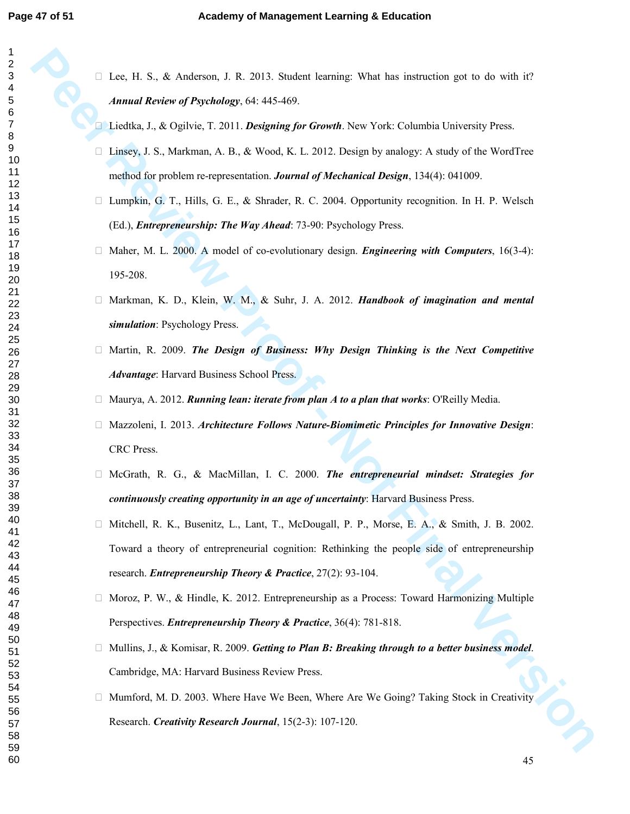Lee, H. S., & Anderson, J. R. 2013. Student learning: What has instruction got to do with it? *Annual Review of Psychology*, 64: 445-469.

 Liedtka, J., & Ogilvie, T. 2011. *Designing for Growth*. New York: Columbia University Press. Linsey, J. S., Markman, A. B., & Wood, K. L. 2012. Design by analogy: A study of the WordTree method for problem re-representation. *Journal of Mechanical Design*, 134(4): 041009.

 Lumpkin, G. T., Hills, G. E., & Shrader, R. C. 2004. Opportunity recognition. In H. P. Welsch (Ed.), *Entrepreneurship: The Way Ahead*: 73-90: Psychology Press.

 Maher, M. L. 2000. A model of co-evolutionary design. *Engineering with Computers*, 16(3-4): 195-208.

 Markman, K. D., Klein, W. M., & Suhr, J. A. 2012. *Handbook of imagination and mental simulation*: Psychology Press.

 Martin, R. 2009. *The Design of Business: Why Design Thinking is the Next Competitive Advantage*: Harvard Business School Press.

Maurya, A. 2012. *Running lean: iterate from plan A to a plan that works*: O'Reilly Media.

 Mazzoleni, I. 2013. *Architecture Follows Nature-Biomimetic Principles for Innovative Design*: CRC Press.

 McGrath, R. G., & MacMillan, I. C. 2000. *The entrepreneurial mindset: Strategies for continuously creating opportunity in an age of uncertainty*: Harvard Business Press.

Lee, H. S., & Anderson, J. R. 2013. Sinder: Istraing: What has instruction got to do with if  $P$ <br> **Permual Review of Psychology**, 14:445.469.<br> **Firstina, J., & Ogivis, T. 2011.** *Devigoing for Granda, New York:* **Columbia**  Mitchell, R. K., Busenitz, L., Lant, T., McDougall, P. P., Morse, E. A., & Smith, J. B. 2002. Toward a theory of entrepreneurial cognition: Rethinking the people side of entrepreneurship research. *Entrepreneurship Theory & Practice*, 27(2): 93-104.

 Moroz, P. W., & Hindle, K. 2012. Entrepreneurship as a Process: Toward Harmonizing Multiple Perspectives. *Entrepreneurship Theory & Practice*, 36(4): 781-818.

 Mullins, J., & Komisar, R. 2009. *Getting to Plan B: Breaking through to a better business model*. Cambridge, MA: Harvard Business Review Press.

 Mumford, M. D. 2003. Where Have We Been, Where Are We Going? Taking Stock in Creativity Research. *Creativity Research Journal*, 15(2-3): 107-120.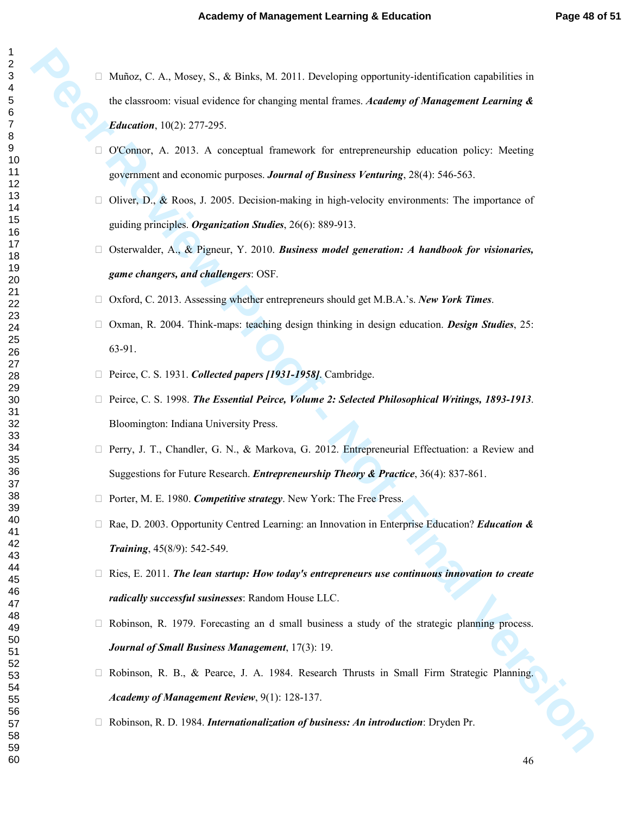Minfor, C. A., Mostv, S., & Risiks, M., 2011. Developing opportunity-identified<br>for a factory of view Proof and Theorem Contains for the state of the state of the state of the state of the state of the state of the state Muñoz, C. A., Mosey, S., & Binks, M. 2011. Developing opportunity-identification capabilities in the classroom: visual evidence for changing mental frames. *Academy of Management Learning & Education*, 10(2): 277-295.

 O'Connor, A. 2013. A conceptual framework for entrepreneurship education policy: Meeting government and economic purposes. *Journal of Business Venturing*, 28(4): 546-563.

 Oliver, D., & Roos, J. 2005. Decision-making in high-velocity environments: The importance of guiding principles. *Organization Studies*, 26(6): 889-913.

 Osterwalder, A., & Pigneur, Y. 2010. *Business model generation: A handbook for visionaries, game changers, and challengers*: OSF.

Oxford, C. 2013. Assessing whether entrepreneurs should get M.B.A.'s. *New York Times*.

 Oxman, R. 2004. Think-maps: teaching design thinking in design education. *Design Studies*, 25: 63-91.

Peirce, C. S. 1931. *Collected papers [1931-1958]*. Cambridge.

 Peirce, C. S. 1998. *The Essential Peirce, Volume 2: Selected Philosophical Writings, 1893-1913*. Bloomington: Indiana University Press.

 Perry, J. T., Chandler, G. N., & Markova, G. 2012. Entrepreneurial Effectuation: a Review and Suggestions for Future Research. *Entrepreneurship Theory & Practice*, 36(4): 837-861.

Porter, M. E. 1980. *Competitive strategy*. New York: The Free Press.

 Rae, D. 2003. Opportunity Centred Learning: an Innovation in Enterprise Education? *Education & Training*, 45(8/9): 542-549.

 Ries, E. 2011. *The lean startup: How today's entrepreneurs use continuous innovation to create radically successful susinesses*: Random House LLC.

 Robinson, R. 1979. Forecasting an d small business a study of the strategic planning process. *Journal of Small Business Management*, 17(3): 19.

 Robinson, R. B., & Pearce, J. A. 1984. Research Thrusts in Small Firm Strategic Planning. *Academy of Management Review*, 9(1): 128-137.

Robinson, R. D. 1984. *Internationalization of business: An introduction*: Dryden Pr.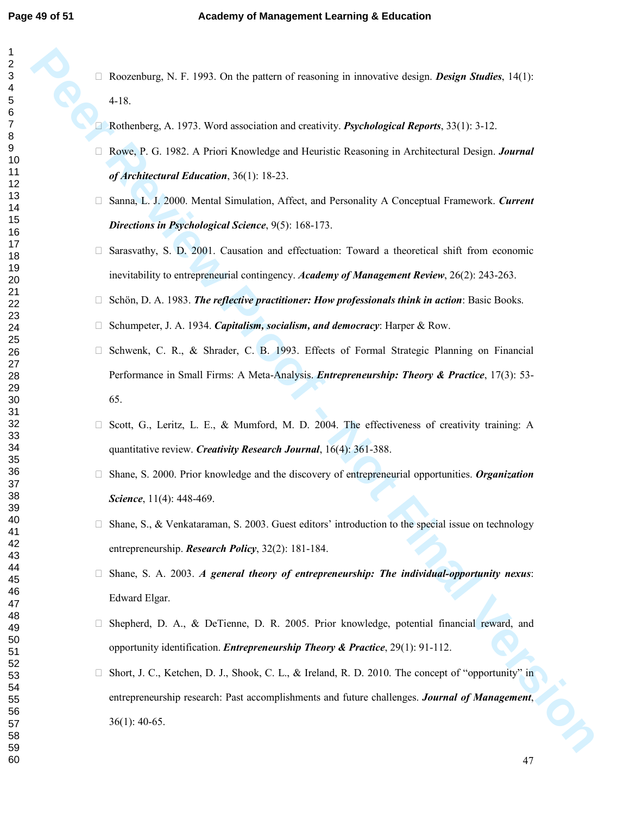Roozenburg, N. F. 1993. On the pattern of reasoning in innovative design. *Design Studies*, 14(1): 4-18.

Rothenberg, A. 1973. Word association and creativity. *Psychological Reports*, 33(1): 3-12.

 Rowe, P. G. 1982. A Priori Knowledge and Heuristic Reasoning in Architectural Design. *Journal of Architectural Education*, 36(1): 18-23.

 Sanna, L. J. 2000. Mental Simulation, Affect, and Personality A Conceptual Framework. *Current Directions in Psychological Science*, 9(5): 168-173.

 Sarasvathy, S. D. 2001. Causation and effectuation: Toward a theoretical shift from economic inevitability to entrepreneurial contingency. *Academy of Management Review*, 26(2): 243-263.

 Schön, D. A. 1983. *The reflective practitioner: How professionals think in action*: Basic Books. Schumpeter, J. A. 1934. *Capitalism, socialism, and democracy*: Harper & Row.

**Rosecobarg, N. E. 1993. On the patron of reasoning in innovative distign.** *Distigne Studies***, 14(1):<br>4.18<br>
<b>Peor Review A.** 1973. Word are<br>action and consisting *People and Distinction Review Proof and Distinguistic Respo*  Schwenk, C. R., & Shrader, C. B. 1993. Effects of Formal Strategic Planning on Financial Performance in Small Firms: A Meta-Analysis. *Entrepreneurship: Theory & Practice*, 17(3): 53- 65.

 Scott, G., Leritz, L. E., & Mumford, M. D. 2004. The effectiveness of creativity training: A quantitative review. *Creativity Research Journal*, 16(4): 361-388.

 Shane, S. 2000. Prior knowledge and the discovery of entrepreneurial opportunities. *Organization Science*, 11(4): 448-469.

 Shane, S., & Venkataraman, S. 2003. Guest editors' introduction to the special issue on technology entrepreneurship. *Research Policy*, 32(2): 181-184.

 Shane, S. A. 2003. *A general theory of entrepreneurship: The individual-opportunity nexus*: Edward Elgar.

 Shepherd, D. A., & DeTienne, D. R. 2005. Prior knowledge, potential financial reward, and opportunity identification. *Entrepreneurship Theory & Practice*, 29(1): 91-112.

 Short, J. C., Ketchen, D. J., Shook, C. L., & Ireland, R. D. 2010. The concept of "opportunity" in entrepreneurship research: Past accomplishments and future challenges. *Journal of Management*, 36(1): 40-65.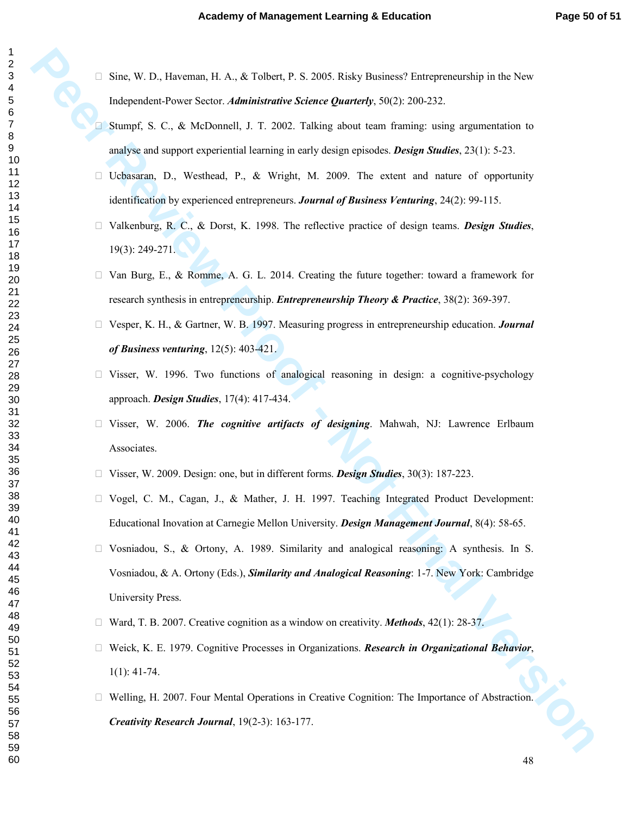Sine, W. D., Haveman, H. A., & Tolbert, P. S. 2005. Risky Business? Entrepreneurship in the New Independent-Power Sector. *Administrative Science Quarterly*, 50(2): 200-232.

 Stumpf, S. C., & McDonnell, J. T. 2002. Talking about team framing: using argumentation to analyse and support experiential learning in early design episodes. *Design Studies*, 23(1): 5-23.

 Ucbasaran, D., Westhead, P., & Wright, M. 2009. The extent and nature of opportunity identification by experienced entrepreneurs. *Journal of Business Venturing*, 24(2): 99-115.

 Valkenburg, R. C., & Dorst, K. 1998. The reflective practice of design teams. *Design Studies*, 19(3): 249-271.

 Van Burg, E., & Romme, A. G. L. 2014. Creating the future together: toward a framework for research synthesis in entrepreneurship. *Entrepreneurship Theory & Practice*, 38(2): 369-397.

 Vesper, K. H., & Gartner, W. B. 1997. Measuring progress in entrepreneurship education. *Journal of Business venturing*, 12(5): 403-421.

 Visser, W. 1996. Two functions of analogical reasoning in design: a cognitive-psychology approach. *Design Studies*, 17(4): 417-434.

 Visser, W. 2006. *The cognitive artifacts of designing*. Mahwah, NJ: Lawrence Erlbaum Associates.

Visser, W. 2009. Design: one, but in different forms. *Design Studies*, 30(3): 187-223.

Sinc, W. D., However, H. A., & Tobert, P. S. 2005. Risky Bostnast/S Europerocenthis in the New Histographic Proof. A., & Tobertool, 1, T. 2002. Talking about team funiting using asymmetrizes to Sumple 5. C., & Meliconet1, Vogel, C. M., Cagan, J., & Mather, J. H. 1997. Teaching Integrated Product Development: Educational Inovation at Carnegie Mellon University. *Design Management Journal*, 8(4): 58-65. Vosniadou, S., & Ortony, A. 1989. Similarity and analogical reasoning: A synthesis. In S. Vosniadou, & A. Ortony (Eds.), *Similarity and Analogical Reasoning*: 1-7. New York: Cambridge University Press.

Ward, T. B. 2007. Creative cognition as a window on creativity. *Methods*, 42(1): 28-37.

 Weick, K. E. 1979. Cognitive Processes in Organizations. *Research in Organizational Behavior*, 1(1): 41-74.

 Welling, H. 2007. Four Mental Operations in Creative Cognition: The Importance of Abstraction. *Creativity Research Journal*, 19(2-3): 163-177.